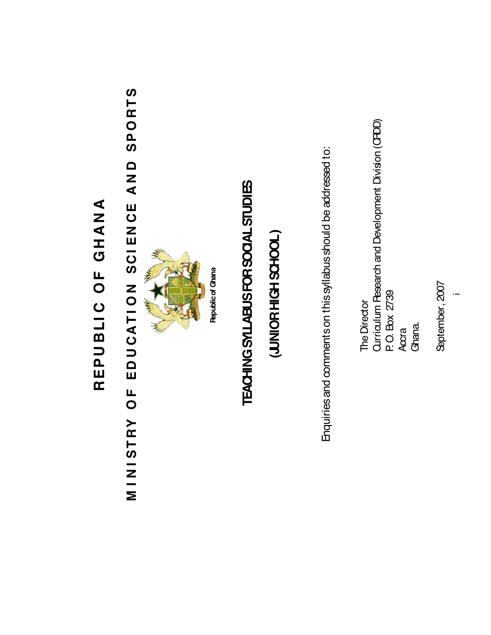## REPUBLIC OF GHANA **REPUBLI C OF GHANA**

# MINISTRY OF EDUCATION SCIENCE AND SPORTS **M I N I STRY OF EDU CATI ON SCI EN CE AN D SPORTS**



**Republic of Ghana Republic of Ghana**

# TEACHING SYLLABUS FOR SOCIAL STUDIES **TEACHING SYLLABUS FOR SOCIAL STUDIES**

### (JUNIOR HIGH SCHOOL) **(JUNIOR HIGH SCHOOL )**

Enquiries and comments on this syllabus should be addressed to: Enquiries and comments on this syllabus should be addressed to:

Curriculum Pesearch and Development Division (CRDD) Curriculum Research and Development Division (CRDD) P.O. Box 2739 P. O. Box 2739 The Director The Director Accra Ghana.

September, 2007 September, 2007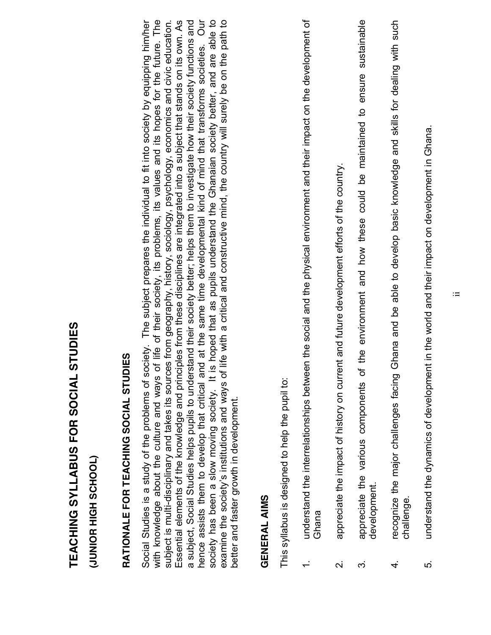# TEACHING SYLLABUS FOR SOCIAL STUDIES **TEACHING SYLLABUS FOR SOCIAL STUDIES**

(JUNIOR HIGH SCHOOL) **(JUNIOR HIGH SCHOOL)**

# RATIONALE FOR TEACHING SOCIAL STUDIES **RATIONALE FOR TEACHING SOCIAL STUDIES**

Our with knowledge about the culture and ways of life of their society, its problems, its values and its hopes for the future. The a subject, Social Studies helps pupils to understand their society better; helps them to investigate how their society functions and society has been a slow moving society. It is hoped that as pupils understand the Ghanaian society better, and are able to examine the society's institutions and ways of life with a critical and constructive mind, the country will surely be on the path to Social Studies is a study of the problems of society. The subject prepares the individual to fit into society by equipping him/hen Social Studies is a study of the problems of society. The subject prepares the individual to fit into society by equipping him/her with knowledge about the culture and ways of life of their society, its problems, its values and its hopes for the future. The subject is multi-disciplinary and takes its sources from geography, history, sociology, psychology, economics and civic education. Essential elements of the knowledge and principles from these disciplines are integrated into a subject that stands on its own. As a subject, Social Studies helps pupils to understand their society better; helps them to investigate how their society functions and hence assists them to develop that critical and at the same time developmental kind of mind that transforms societies. Our society has been a slow moving society. It is hoped that as pupils understand the Ghanaian society better, and are able to examine the society's institutions and ways of life with a critical and constructive mind, the country will surely be on the path to subject is multi-disciplinary and takes its sources from geography, history, sociology, psychology, economics and civic education. Essential elements of the knowledge and principles from these disciplines are integrated into a subject that stands on its own. As nence assists them to develop that critical and at the same time developmental kind of mind that transforms societies. better and faster growth in development. better and faster growth in development.

#### **GENERAL AIMS GENERAL AIMS**

This syllabus is designed to help the pupil to: This syllabus is designed to help the pupil to:

- understand the interrelationships between the social and the physical environment and their impact on the development of 1. understand the interrelationships between the social and the physical environment and their impact on the development of Ghana  $\div$
- appreciate the impact of history on current and future development efforts of the country. 2. appreciate the impact of history on current and future development efforts of the country.  $\overline{\mathsf{N}}$
- appreciate the various components of the environment and how these could be maintained to ensure sustainable 3. appreciate the various components of the environment and how these could be maintained to ensure sustainable development. development. က
- recognize the major challenges facing Ghana and be able to develop basic knowledge and skills for dealing with such 4. recognize the major challenges facing Ghana and be able to develop basic knowledge and skills for dealing with such challenge. challenge. 4.
- understand the dynamics of development in the world and their impact on development in Ghana. 5. understand the dynamics of development in the world and their impact on development in Ghana.ທ່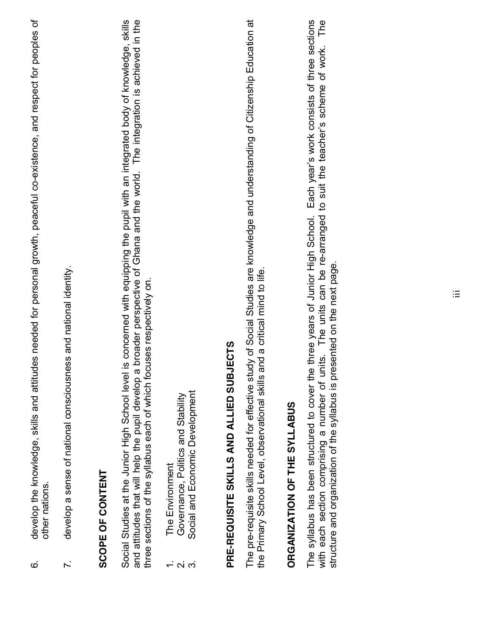- develop the knowledge, skills and attitudes needed for personal growth, peaceful co-existence, and respect for peoples of 6. develop the knowledge, skills and attitudes needed for personal growth, peaceful co-existence, and respect for peoples of other nations. other nations.  $\dot{\circ}$
- develop a sense of national consciousness and national identity. 7. develop a sense of national consciousness and national identity.  $\overline{r}$ .

### SCOPE OF CONTENT **SCOPE OF CONTENT**

Social Studies at the Junior High School level is concerned with equipping the pupil with an integrated body of knowledge, skills and attitudes that will help the pupil develop a broader perspective of Ghana and the world. The integration is achieved in the Social Studies at the Junior High School level is concerned with equipping the pupil with an integrated body of knowledge, skills and attitudes that will help the pupil develop a broader perspective of Ghana and the world. The integration is achieved in the three sections of the syllabus each of which focuses respectively on. three sections of the syllabus each of which focuses respectively on.

- The Environment 1. The Environment
- Governance, Politics and Stability 2. Governance, Politics and Stability  $\alpha$   $\alpha$
- Social and Economic Development 3. Social and Economic Development

# PRE-REQUISITE SKILLS AND ALLIED SUBJECTS **PRE-REQUISITE SKILLS AND ALLIED SUBJECTS**

The pre-requisite skills needed for effective study of Social Studies are knowledge and understanding of Citizenship Education at The pre-requisite skills needed for effective study of Social Studies are knowledge and understanding of Citizenship Education at the Primary School Level, observational skills and a critical mind to life. the Primary School Level, observational skills and a critical mind to life.

### ORGANIZATION OF THE SYLLABUS **ORGANIZATION OF THE SYLLABUS**

The syllabus has been structured to cover the three years of Junior High School. Each year's work consists of three sections with each section comprising a number of units. The units can be re-arranged to suit the teacher's scheme of work. The The syllabus has been structured to cover the three years of Junior High School. Each year's work consists of three sections with each section comprising a number of units. The units can be re-arranged to suit the teacher's scheme of work. The structure and organization of the syllabus is presented on the next page. structure and organization of the syllabus is presented on the next page.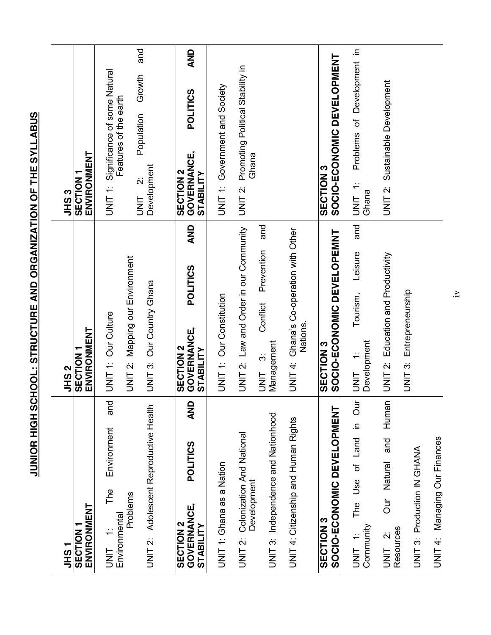| ・SHラ                                                                                        | N<br>SHL                                                                             | ო<br>აქ                                                                                     |
|---------------------------------------------------------------------------------------------|--------------------------------------------------------------------------------------|---------------------------------------------------------------------------------------------|
| ENVIRONMENT<br><b>SECTION</b>                                                               | ENVIRONMENT<br>SECTION <sub>1</sub>                                                  | ENVIRONMENT<br>SECTION <sub>1</sub>                                                         |
| and<br>Environment<br>The<br>Problems<br>Environmental<br>$\div$<br>UNIT                    | UNIT 2: Mapping our Environment<br>UNIT 1: Our Culture                               | Significance of some Natural<br>Features of the earth<br>UNIT 1:                            |
| Adolescent Reproductive Health<br>UNIT <sub>2</sub> :                                       | UNIT 3: Our Country Ghana                                                            | and<br>Growth<br>Population<br>Development<br>$\dot{\sim}$<br>UNIT                          |
| <b>AND</b><br><b>POLITICS</b><br><b>GOVERNANCE,</b><br><b>SECTION 2</b><br><b>STABILITY</b> | AND<br><b>POLITICS</b><br><b>GOVERNANCE,</b><br><b>SECTION 2</b><br><b>STABILITY</b> | <b>AND</b><br><b>POLITICS</b><br><b>GOVERNANCE,</b><br><b>SECTION 2</b><br><b>STABILITY</b> |
| UNIT 1: Ghana as a Nation                                                                   | UNIT 1: Our Constitution                                                             | UNIT 1: Government and Society                                                              |
| UNIT 2: Colonization And National<br>Development                                            | UNIT 2: Law and Order in our Community                                               | Promoting Political Stability in<br>Ghana<br>UNIT 2:                                        |
| UNIT 3: Independence and Nationhood                                                         | and<br>Prevention<br>Conflict<br>Management<br>$\ddot{\infty}$<br><b>UNIT</b>        |                                                                                             |
| UNIT 4: Citizenship and Human Rights                                                        | UNIT 4: Ghana's Co-operation with Other<br>Nations.                                  |                                                                                             |
| SOCIO-ECONOMIC DEVELOPMENT<br><b>SECTION3</b>                                               | SOCIO-ECONOMIC DEVELOPEMNT<br><b>SECTION 3</b>                                       | SOCIO-ECONOMIC DEVELOPMENT<br><b>SECTION 3</b>                                              |
| The Use of Land in Our<br>Community<br>UNIT <sub>1:</sub>                                   | and<br>Leisure<br>Tourism,<br>Development<br>$\div$<br><b>UNL</b>                    | Problems of Development in<br>UNIT <sub>1:</sub><br>Ghana                                   |
| Human<br>and<br>Our Natural<br>Resources<br>$\dot{\sim}$<br><b>TINL</b>                     | UNIT 2: Education and Productivity                                                   | <b>JNIT 2: Sustainable Development</b>                                                      |
| <b>UNIT 3: Production IN GHANA</b>                                                          | UNIT 3: Entrepreneurship                                                             |                                                                                             |
| UNIT 4: Managing Our Finances                                                               |                                                                                      |                                                                                             |

JUNIOR HIGH SCHOOL: STRUCTURE AND ORGANIZATION OF THE SYLLABUS **JUNIOR HIGH SCHOOL: STRUCTURE AND ORGANIZATION OF THE SYLLABUS**

iv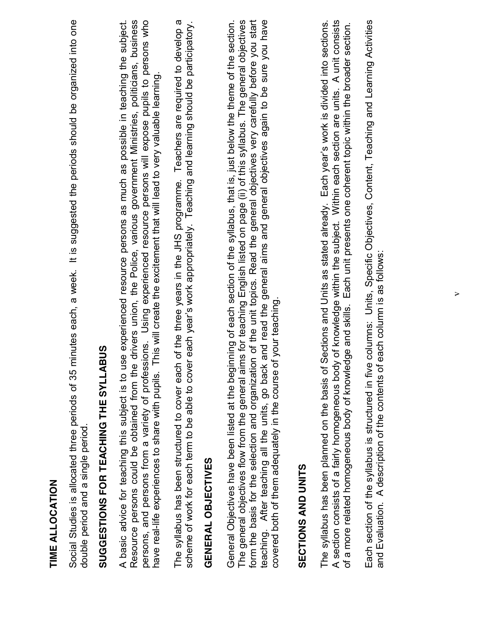| TIME ALLOCATION                                                                                                                                                                                                                                                                                                                                                                                                                                                                                                                                                                                                      |
|----------------------------------------------------------------------------------------------------------------------------------------------------------------------------------------------------------------------------------------------------------------------------------------------------------------------------------------------------------------------------------------------------------------------------------------------------------------------------------------------------------------------------------------------------------------------------------------------------------------------|
| It is suggested the periods should be organized into one<br>minutes each, a week.<br>Social Studies is allocated three periods of 35<br>double period and a single period.                                                                                                                                                                                                                                                                                                                                                                                                                                           |
| SUGGESTIONS FOR TEACHING THE SYLLABUS                                                                                                                                                                                                                                                                                                                                                                                                                                                                                                                                                                                |
| Resource persons could be obtained from the drivers union, the Police, various government Ministries, politicians, business<br>persons, and persons from a variety of professions. Using experienced resource persons will expose pupils to persons who<br>use experienced resource persons as much as possible in teaching the subject.<br>This will create the excitement that will lead to very valuable learning.<br>have real-life experiences to share with pupils.<br>A basic advice for teaching this subject is to                                                                                          |
| Teachers are required to develop a<br>scheme of work for each term to be able to cover each year's work appropriately. Teaching and learning should be participatory.<br>The syllabus has been structured to cover each of the three years in the JHS programme.                                                                                                                                                                                                                                                                                                                                                     |
| GENERAL OBJECTIVES                                                                                                                                                                                                                                                                                                                                                                                                                                                                                                                                                                                                   |
| The general objectives flow from the general aims for teaching English listed on page (ii) of this syllabus. The general objectives<br>ion of the unit topics. Read the general objectives very carefully before you start<br>teaching. After teaching all the units, go back and read the general aims and general objectives again to be sure you have<br>General Objectives have been listed at the beginning of each section of the syllabus, that is, just below the theme of the section.<br>covered both of them adequately in the course of your teaching<br>form the basis for the selection and organizati |
| <b>SECTIONS AND UNITS</b>                                                                                                                                                                                                                                                                                                                                                                                                                                                                                                                                                                                            |
| A section consists of a fairly homogeneous body of knowledge within the subject. Within each section are units. A unit consists<br>The syllabus has been planned on the basis of Sections and Units as stated already. Each year's work is divided into sections.<br>of a more related homogeneous body of knowledge and skills. Each unit presents one coherent topic within the broader section.                                                                                                                                                                                                                   |
| Each section of the syllabus is structured in five columns: Units, Specific Objectives, Content, Teaching and Learning Activities<br>and Evaluation. A description of the contents of each column is as follows                                                                                                                                                                                                                                                                                                                                                                                                      |
|                                                                                                                                                                                                                                                                                                                                                                                                                                                                                                                                                                                                                      |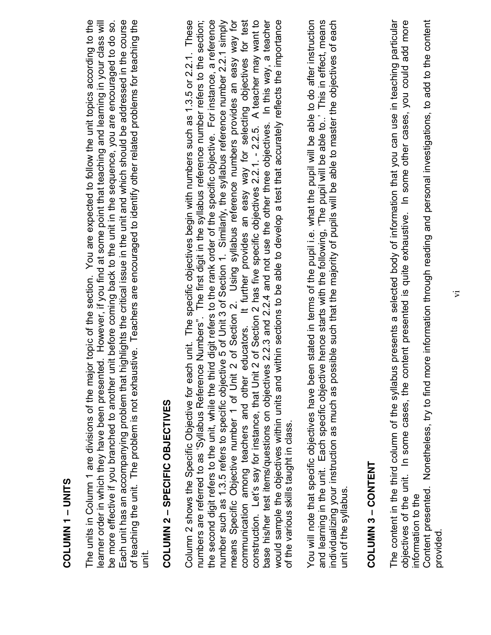### COLUMN 1 - UNITS **COLUMN 1** ± **UNITS**

of teaching the unit. The problem is not exhaustive. Teachers are encouraged to identify other related problems for teaching the The units in Column 1 are divisions of the major topic of the section. You are expected to follow the unit topics according to the learner order in which they have been presented. However, if you find at some point that teaching and learning in your class will be more effective if you branched to another unit before coming back to the unit in the sequence, you are encouraged to do so. Each unit has an accompanying problem that highlights the critical issue in the unit and which should be addressed in the course The units in Column 1 are divisions of the major topic of the section. You are expected to follow the unit topics according to the Each unit has an accompanying problem that highlights the critical issue in the unit and which should be addressed in the course of teaching the unit. The problem is not exhaustive. Teachers are encouraged to identify other related problems for teaching the learner order in which they have been presented. However, if you find at some point that teaching and learning in your class will be more effective if you branched to another unit before coming back to the unit in the sequence, you are encouraged to do so. unit.

### COLUMN 2 - SPECIFIC OBJECTIVES **COLUMN 2** ± **SPECIFIC OBJECTIVES**

construction. Let's say for instance, that Unit 2 of Section 2 has five specific objectives 2.2.1. - 2.2.5. A teacher may want to Column 2 shows the Specific Objective for each unit. The specific objectives begin with numbers such as 1.3.5 or 2.2.1. These<br>numbers are referred to as 'Syllabus Reference Numbers". The first digit in the syllabus referen the second digit refers to the unit, while the third digit refers to the rank order of the specific objective. For instance, a reference number such as 1.3.5 refers to specific objective 5 of Unit 3 of Section 1. Similarly, the syllabus reference number 2.2.1 simply means Specific Objective number 1 of Unit 2 of Section 2. Using syllabus reference numbers provides an easy way for communication among teachers and other educators. It further provides an easy way for selecting objectives for test base his/her test items/questions on objectives 2.2.3 and 2.2.4 and not use the other three objectives. In this way, a teacher would sample the objectives within units and within sections to be able to develop a test that accurately reflects the importance the second digit refers to the unit, while the third digit refers to the rank order of the specific objective. For instance, a reference number such as 1.3.5 refers to specific objective 5 of Unit 3 of Section 1. Similarly, the syllabus reference number 2.2.1 simply means Specific Objective number 1 of Unit 2 of Section 2. Using syllabus reference numbers provides an easy way for communication among teachers and other educators. It further provides an easy way for selecting objectives for test construction. Let's say for instance, that Unit 2 of Section 2 has five specific objectives 2.2.1. - 2.2.5. A teacher may want to base his/her test items/questions on objectives 2.2.3 and 2.2.4 and not use the other three objectives. In this way, a teacher would sample the objectives within units and within sections to be able to develop a test that accurately reflects the importance Column 2 shows the Specific Objective for each unit. The specific objectives begin with numbers such as 1.3.5 or 2.2.1. These numbers are referred to as 'Syllabus Reference Numbers". The first digit in the syllabus reference number refers to the section; of the various skills taught in class. of the various skills taught in class.

You will note that specific objectives have been stated in terms of the pupil i.e. what the pupil will be able to do after instruction and learning in the unit. Each specific objective hence starts with the following, 'The pupil will be able to.' This in effect, means individualizing your instruction as much as possible such that the majority of pupils will be able to master the objectives of each and learning in the unit. Each specific objective hence starts with the following, 'The pupil will be able to..' This in effect, means You will note that specific objectives have been stated in terms of the pupil i.e. what the pupil will be able to do after instruction individualizing your instruction as much as possible such that the majority of pupils will be able to master the objectives of each unit of the syllabus. unit of the syllabus.

### COLUMN 3 - CONTENT **COLUMN 3** ± **CONTENT**

objectives of the unit. In some cases, the content presented is quite exhaustive. In some other cases, you could add more The content in the third column of the syllabus presents a selected body of information that you can use in teaching particular The content in the third column of the syllabus presents a selected body of information that you can use in teaching particular objectives of the unit. In some cases, the content presented is quite exhaustive. In some other cases, you could add more information to the information to the

Content presented. Nonetheless, try to find more information through reading and personal investigations, to add to the content Content presented. Nonetheless, try to find more information through reading and personal investigations, to add to the content provided.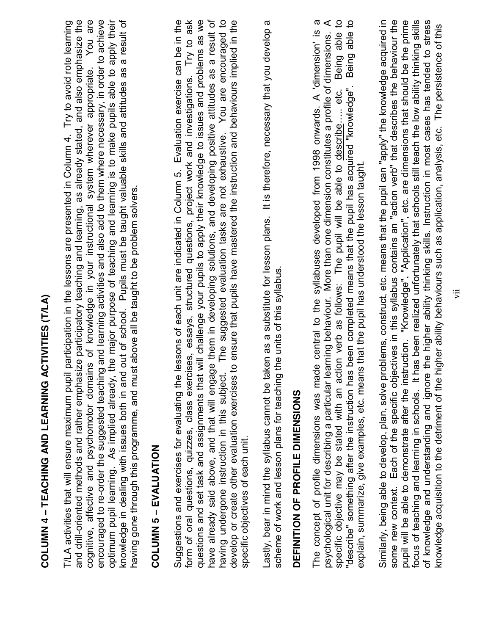| i<br>I<br>I<br>I     |
|----------------------|
| <br> <br> <br>       |
|                      |
| $1200$ $-1200$       |
|                      |
| ミラくしょ                |
|                      |
| $\ddot{\phantom{a}}$ |
|                      |

and drill-oriented methods and rather emphasize participatory teaching and learning, as already stated, and also emphasize the cognitive, affective and psychomotor domains of knowledge in your instructional system wherever appropriate. You are encouraged to re-order the suggested teaching and learning activities and also add to them where necessary, in order to achieve knowledge in dealing with issues both in and out of school. Pupils must be taught valuable skills and attitudes as a result of T/LA activities that will ensure maximum pupil participation in the lessons are presented in Column 4. Try to avoid rote learning optimum pupil learning. As implied already, the major purpose of teaching and learning is to make pupils able to apply their and drill-oriented methods and rather emphasize participatory teaching and learning, as already stated, and also emphasize the cognitive, affective and psychomotor domains of knowledge in your instructional system wherever appropriate. You are encouraged to re-order the suggested teaching and learning activities and also add to them where necessary, in order to achieve optimum pupil learning. As implied already, the major purpose of teaching and learning is to make pupils able to apply their knowledge in dealing with issues both in and out of school. Pupils must be taught valuable skills and attitudes as a result of T/LA activities that will ensure maximum pupil participation in the lessons are presented in Column 4. Try to avoid rote learning naving gone through this programme, and must above all be taught to be problem solvers. having gone through this programme, and must above all be taught to be problem solvers.

### COLUMN 5 - EVALUATION **COLUMN 5** ± **EVALUATION**

form of oral questions, quizzes, class exercises, essays, structured questions, project work and investigations. Try to ask have already said above, and that will engage them in developing solutions, and developing positive attitudes as a result of You are encouraged to develop or create other evaluation exercises to ensure that pupils have mastered the instruction and behaviours implied in the Suggestions and exercises for evaluating the lessons of each unit are indicated in Column 5. Evaluation exercise can be in the questions and set task and assignments that will challenge your pupils to apply their knowledge to issues and problems as we Suggestions and exercises for evaluating the lessons of each unit are indicated in Column 5. Evaluation exercise can be in the form of oral questions, quizzes, class exercises, essays, structured questions, project work and investigations. Try to ask questions and set task and assignments that will challenge your pupils to apply their knowledge to issues and problems as we have already said above, and that will engage them in developing solutions, and developing positive attitudes as a result of having undergone instruction in this subject. The suggested evaluation tasks are not exhaustive. You are encouraged to develop or create other evaluation exercises to ensure that pupils have mastered the instruction and behaviours implied in the naving undergone instruction in this subject. The suggested evaluation tasks are not exhaustive. specific objectives of each unit. specific objectives of each unit. Lastly, bear in mind the syllabus cannot be taken as a substitute for lesson plans. It is therefore, necessary that you develop a Lastly, bear in mind the syllabus cannot be taken as a substitute for lesson plans. It is therefore, necessary that you develop a scheme of work and lesson plans for teaching the units of this syllabus. scheme of work and lesson plans for teaching the units of this syllabus.

### DEFINITION OF PROFILE DIMENSIONS **DEFINITION OF PROFILE DIMENSIONS**

Being able to The concept of profile dimensions was made central to the syllabuses developed from 1998 onwards. A 'dimension' is a "describe" something after the instruction has been completed means that the pupil has acquired "knowledge". Being able to psychological unit for describing a particular learning behaviour. More than one dimension constitutes a profile of dimensions. A The concept of profile dimensions was made central to the syllabuses developed from 1998 onwards. A 'dimension' is a psychological unit for describing a particular learning behaviour. More than one dimension constitutes a profile of dimensions. A specific objective may be stated with an action verb as follows: The pupil will be able to describe….. etc. Being able to "describe" something after the instruction has been completed means that the pupil has acquired "knowledge". Being able to specific objective may be stated with an action verb as follows: The pupil will be able to describe..... etc. explain, summarize, give examples, etc. means that the pupil has understood the lesson taught. explain, summarize, give examples, etc. means that the pupil has understood the lesson taught.

focus of teaching and learning in schools. It has been realized unfortunately that schools still teach the low ability thinking skills Similarly, being able to develop, plan, solve problems, construct, etc. means that the pupil can "apply" the knowledge acquired in some new context. Each of the specific objectives in this syllabus contains an "action verb" that describes the behaviour the of knowledge and understanding and ignore the higher ability thinking skills. Instruction in most cases has tended to stress pupil will be able to demonstrate after the instruction. "Knowledge", "Application", etc. are dimensions that should be the prime some new context. Each of the specific objectives in this syllabus contains an "action verb" that describes the behaviour the focus of teaching and learning in schools. It has been realized unfortunately that schools still teach the low ability thinking skills of knowledge and understanding and ignore the higher ability thinking skills. Instruction in most cases has tended to stress Similarly, being able to develop, plan, solve problems, construct, etc. means that the pupil can "apply" the knowledge acquired in pupil will be able to demonstrate after the instruction. "Knowledge", "Application", etc. are dimensions that should be the prime knowledge acquisition to the detriment of the higher ability behaviours such as application, analysis, etc. The persistence of this knowledge acquisition to the detriment of the higher ability behaviours such as application, analysis, etc. The persistence of this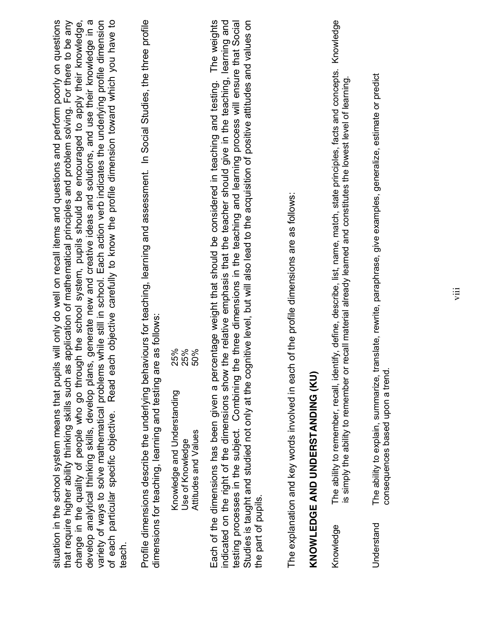| change in the quality of people who go through the school system, pupils should be encouraged to apply their knowledge,<br>of each particular specific objective. Read each objective carefully to know the profile dimension toward which you have to<br>Profile dimensions describe the underlying behaviours for teaching, learning and assessment. In Social Studies, the three profile<br>situation in the school system means that pupils will only do well on recall items and questions and perform poorly on questions<br>that require higher ability thinking skills such as application of mathematical principles and problem solving. For there to be any<br>develop analytical thinking skills, develop plans, generate new and creative ideas and solutions, and use their knowledge in a<br>variety of ways to solve mathematical problems while still in school. Each action verb indicates the underlying profile dimension<br>Studies is taught and studied not only at the cognitive level, but will also lead to the acquisition of positive attitudes and values on<br>Each of the dimensions has been given a percentage weight that should be considered in teaching and testing. The weights<br>indicated on the right of the dimensions show the relative emphasis that the teacher should give in the teaching, learning and<br>the three dimensions in the teaching and learning process will ensure that Social<br>dimensions for teaching, learning and testing are as follows:<br>25%<br>25%<br>50%<br>testing processes in the subject. Combining<br>Knowledge and Understanding<br>Attitudes and Values<br>Use of Knowledge<br>teach. | Knowledge<br>The ability to remember, recall, identify, define, describe, list, name, match, state principles, facts and concepts.<br>translate, rewrite, paraphrase, give examples, generalize, estimate or predict<br>is simply the ability to remember or recall material already learned and constitutes the lowest level of learning.<br>The explanation and key words involved in each of the profile dimensions are as follows:<br>KNOWLEDGE AND UNDERSTANDING (KU)<br>consequences based upon a trend<br>The ability to explain, summarize,<br>the part of pupils.<br>Understand<br>Knowledge |  |
|------------------------------------------------------------------------------------------------------------------------------------------------------------------------------------------------------------------------------------------------------------------------------------------------------------------------------------------------------------------------------------------------------------------------------------------------------------------------------------------------------------------------------------------------------------------------------------------------------------------------------------------------------------------------------------------------------------------------------------------------------------------------------------------------------------------------------------------------------------------------------------------------------------------------------------------------------------------------------------------------------------------------------------------------------------------------------------------------------------------------------------------------------------------------------------------------------------------------------------------------------------------------------------------------------------------------------------------------------------------------------------------------------------------------------------------------------------------------------------------------------------------------------------------------------------------------------------------------------------------------------------------------------------------------|-------------------------------------------------------------------------------------------------------------------------------------------------------------------------------------------------------------------------------------------------------------------------------------------------------------------------------------------------------------------------------------------------------------------------------------------------------------------------------------------------------------------------------------------------------------------------------------------------------|--|
|------------------------------------------------------------------------------------------------------------------------------------------------------------------------------------------------------------------------------------------------------------------------------------------------------------------------------------------------------------------------------------------------------------------------------------------------------------------------------------------------------------------------------------------------------------------------------------------------------------------------------------------------------------------------------------------------------------------------------------------------------------------------------------------------------------------------------------------------------------------------------------------------------------------------------------------------------------------------------------------------------------------------------------------------------------------------------------------------------------------------------------------------------------------------------------------------------------------------------------------------------------------------------------------------------------------------------------------------------------------------------------------------------------------------------------------------------------------------------------------------------------------------------------------------------------------------------------------------------------------------------------------------------------------------|-------------------------------------------------------------------------------------------------------------------------------------------------------------------------------------------------------------------------------------------------------------------------------------------------------------------------------------------------------------------------------------------------------------------------------------------------------------------------------------------------------------------------------------------------------------------------------------------------------|--|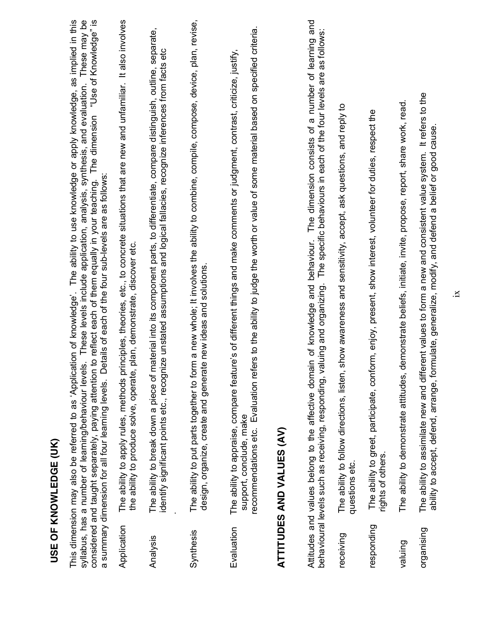|             | <b>USE OF KNOWLEDGE (UK)</b>                                                                                                                                                                                                                                                                                                                                                                                                                                                                                                                     |
|-------------|--------------------------------------------------------------------------------------------------------------------------------------------------------------------------------------------------------------------------------------------------------------------------------------------------------------------------------------------------------------------------------------------------------------------------------------------------------------------------------------------------------------------------------------------------|
|             | syllabus, has a number of learning/behaviour levels. These levels include application, analysis, synthesis, and evaluation. These may be<br>This dimension may also be referred to as 'Application of knowledge'. The ability to use knowledge or apply knowledge, as implied in this<br>considered and taught separately, paying attention to reflect each of them equally in your teaching. The dimension "Use of Knowledge" is<br>Details of each of the four sub-levels are as follows:<br>a summary dimension for all four learning levels. |
| Application | The ability to apply rules, methods principles, theories, etc., to concrete situations that are new and unfamiliar. It also involves<br>the ability to produce solve, operate, plan, demonstrate, discover etc.                                                                                                                                                                                                                                                                                                                                  |
| Analysis    | material into its component parts, to differentiate, compare distinguish, outline, separate,<br>identify significant points etc., recognize unstated assumptions and logical fallacies, recognize inferences from facts etc<br>The ability to break down a piece of                                                                                                                                                                                                                                                                              |
| Synthesis   | The ability to put parts together to form a new whole; It involves the ability to combine, compile, compose, device, plan, revise,<br>design, organize, create and generate new ideas and solutions                                                                                                                                                                                                                                                                                                                                              |
| Evaluation  | recommendations etc. Evaluation refers to the ability to judge the worth or value of some material based on specified criteria.<br>The ability to appraise, compare feature's of different things and make comments or judgment, contrast, criticize, justify,<br>support, conclude, make                                                                                                                                                                                                                                                        |
|             | <b>ATTITUDES AND VALUES (AV)</b>                                                                                                                                                                                                                                                                                                                                                                                                                                                                                                                 |
|             | The dimension consists of a number of learning and<br>The specific behaviours in each of the four levels are as follows:<br>Attitudes and values belong to the affective domain of knowledge and behaviour.<br>valuing and organizing.<br>behavioural levels such as receiving, responding,                                                                                                                                                                                                                                                      |
| receiving   | show awareness and sensitivity, accept, ask questions, and reply to<br>The ability to follow directions, listen<br>questions etc.                                                                                                                                                                                                                                                                                                                                                                                                                |
| responding  | The ability to greet, participate, conform, enjoy, present, show interest, volunteer for duties, respect the<br>rights of others.                                                                                                                                                                                                                                                                                                                                                                                                                |
| valuing     | demonstrate beliefs, initiate, invite, propose, report, share work, read.<br>The ability to demonstrate attitudes,                                                                                                                                                                                                                                                                                                                                                                                                                               |
| organising  | It refers to the<br>ability to accept, defend, arrange, formulate, generalize, modify, and defend a belief or good cause<br>The ability to assimilate new and different values to form a new and consistent value system.                                                                                                                                                                                                                                                                                                                        |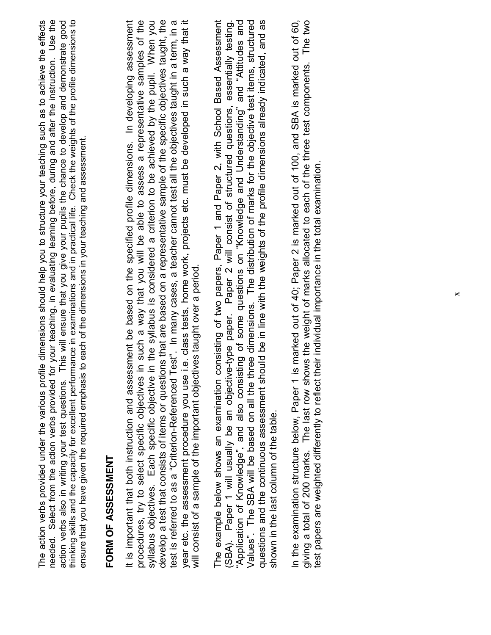| thinking skills and the capacity for excellent performance in examinations and in practical life. Check the weights of the profile dimensions to<br>ryour teaching, in evaluating learning before, during and after the instruction. Use the<br>action verbs also in writing your test questions. This will ensure that you give your pupils the chance to develop and demonstrate good<br>The action verbs provided under the various profile dimensions should help you to structure your teaching such as to achieve the effects<br>ensure that you have given the required emphasis to each of the dimensions in your teaching and assessment.<br>needed. Select from the action verbs provided for<br><b>FORM OF ASSESSMENT</b>                                                                                                                                                     |         |
|------------------------------------------------------------------------------------------------------------------------------------------------------------------------------------------------------------------------------------------------------------------------------------------------------------------------------------------------------------------------------------------------------------------------------------------------------------------------------------------------------------------------------------------------------------------------------------------------------------------------------------------------------------------------------------------------------------------------------------------------------------------------------------------------------------------------------------------------------------------------------------------|---------|
| year etc. the assessment procedure you use i.e. class tests, home work, projects etc. must be developed in such a way that it<br>develop a test that consists of items or questions that are based on a representative sample of the specific objectives taught, the<br>procedures, try to select specific objectives in such a way that you will be able to assess a representative samples of the<br>syllabus objectives. Each specific objective in the syllabus is considered a criterion to be achieved by the pupil. When you<br>It is important that both instruction and assessment be based on the specified profile dimensions. In developing assessment<br>test is referred to as a "Criterion-Referenced Test". In many cases, a teacher cannot test all the objectives taught in a term, in a<br>will consist of a sample of the important objectives taught over a period. |         |
| (SBA). Paper 1 will usually be an objective-type paper. Paper 2 will consist of structured questions, essentially testing.<br>Values". The SBA will be based on all the three dimensions. The distribution of marks for the objective test items, structured<br>The example below shows an examination consisting of two papers, Paper 1 and Paper 2, with School Based Assessment<br>"Application of Knowledge", and also consisting of some questions on "Knowledge and Understanding" and "Attitudes and<br>uld be in line with the weights of the profile dimensions already indicated, and as<br>questions and the continuous assessment shore<br>shown in the last column of the table.                                                                                                                                                                                            |         |
| In the examination structure below, Paper 1 is marked out of 40; Paper 2 is marked out of 100, and SBA is marked out of 60,<br>giving a total of 200 marks. The last row shows the weight of marks allocated to each of the three test components.<br>test papers are weighted differently to reflect their individual importance in the total examination.                                                                                                                                                                                                                                                                                                                                                                                                                                                                                                                              | The two |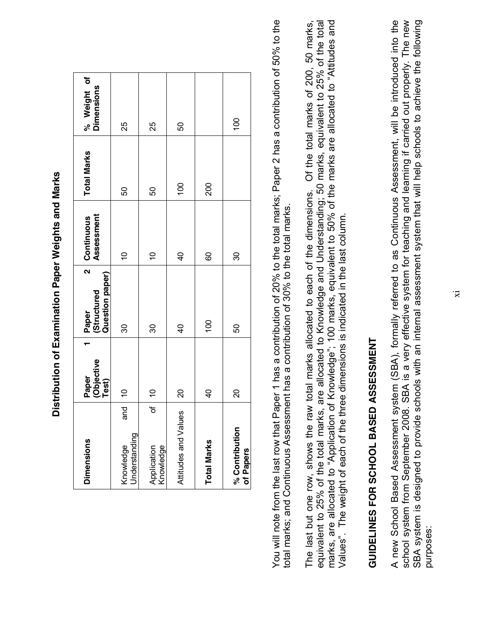| י<br>ו                       |
|------------------------------|
| ζ<br>ς                       |
| ١                            |
| $\frac{1}{2}$<br>ı<br>۱<br>l |
|                              |
| ĺ<br>I<br>j                  |
| I                            |

| <b>Dimensions</b>                 | Paper<br>(Objective<br>Test) | $\overline{\mathbf{z}}$<br>Question paper)<br>  Paper<br>  Structured | Continuous<br>Assessment | <b>Total Marks</b> | % Weight of<br>Dimensions |
|-----------------------------------|------------------------------|-----------------------------------------------------------------------|--------------------------|--------------------|---------------------------|
| and<br>Understanding<br>Knowledge | $\frac{1}{\sqrt{2}}$         | 30                                                                    | $\tilde{0}$              | 8                  | 25                        |
| of  <br>Application<br>Knowledge  | $\tilde{\mathbf{0}}$         | 30                                                                    | $\frac{1}{2}$            | 8                  | 25                        |
| Attitudes and Values              | $\infty$                     | $\overline{6}$                                                        | $\frac{1}{2}$            | $\overline{100}$   | 50                        |
| <b>Total Marks</b>                | $\overline{a}$               | 100                                                                   | 80                       | 200                |                           |
| % Contribution<br>of Papers       | <u>ន</u>                     | 50                                                                    | 30                       |                    | $\overline{100}$          |

You will note from the last row that Paper 1 has a contribution of 20% to the total marks; Paper 2 has a contribution of 50% to the You will note from the last row that Paper 1 has a contribution of 20% to the total marks; Paper 2 has a contribution of 50% to the total marks; and Continuous Assessment has a contribution of 30% to the total marks. total marks; and Continuous Assessment has a contribution of 30% to the total marks.

marks, are allocated to "Application of Knowledge"; 100 marks, equivalent to 50% of the marks are allocated to "Attitudes and equivalent to 25% of the total marks, are allocated to Knowledge and Understanding; 50 marks, equivalent to 25% of the total Of the total marks of 200, 50 marks, The last but one row, shows the raw total marks allocated to each of the dimensions. Of the total marks of 200, 50 marks, equivalent to 25% of the total marks, are allocated to Knowledge and Understanding; 50 marks, equivalent to 25% of the total marks, are allocated to "Application of Knowledge"; 100 marks, equivalent to 50% of the marks are allocated to "Attitudes and The last but one row, shows the raw total marks allocated to each of the dimensions. Values". The weight of each of the three dimensions is indicated in the last column. Values". The weight of each of the three dimensions is indicated in the last column.

# **GUIDELINES FOR SCHOOL BASED ASSESSMENT GUIDELINES FOR SCHOOL BASED ASSESSMENT**

A new School Based Assessment system (SBA), formally referred to as Continuous Assessment, will be introduced into the<br>school system from September 2008. SBA is a very effective system for teaching and learning if carried SBA system is designed to provide schools with an internal assessment system that will help schools to achieve the following A new School Based Assessment system (SBA), formally referred to as Continuous Assessment, will be introduced into the school system from September 2008. SBA is a very effective system for teaching and learning if carried out properly. The new SBA system is designed to provide schools with an internal assessment system that will help schools to achieve the following purposes: purposes: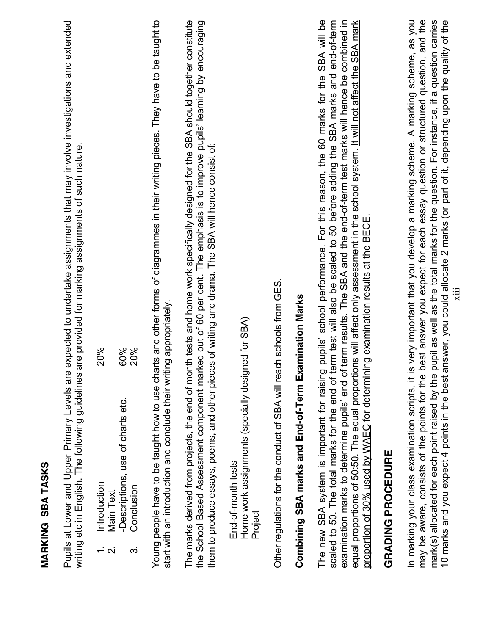| writing etc in English. The following guidelines                                                                                                                                                | Pupils at Lower and Upper Primary Levels are expected to undertake assignments that may involve investigations and extended<br>are provided for marking assignments of such nature.                                                                                                                                                                                                                                                                                                                                                                                   |
|-------------------------------------------------------------------------------------------------------------------------------------------------------------------------------------------------|-----------------------------------------------------------------------------------------------------------------------------------------------------------------------------------------------------------------------------------------------------------------------------------------------------------------------------------------------------------------------------------------------------------------------------------------------------------------------------------------------------------------------------------------------------------------------|
| Introduction<br><b>Main Text</b><br>$\div$<br>$\overline{\mathsf{N}}$                                                                                                                           | <b>20%</b>                                                                                                                                                                                                                                                                                                                                                                                                                                                                                                                                                            |
| -Descriptions, use of charts etc.<br>Conclusion<br>က                                                                                                                                            | 20%<br>60%                                                                                                                                                                                                                                                                                                                                                                                                                                                                                                                                                            |
| start with an introduction and conclude their writing appropriately.                                                                                                                            | Young people have to be taught how to use charts and other forms of diagrammes in their writing pieces. They have to be taught to                                                                                                                                                                                                                                                                                                                                                                                                                                     |
|                                                                                                                                                                                                 | The marks derived from projects, the end of month tests and home work specifically designed for the SBA should together constitute<br>the School Based Assessment component marked out of 60 per cent. The emphasis is to improve pupils' learning by encouraging<br>them to produce essays, poems, and other pieces of writing and drama. The SBA will hence consist of:                                                                                                                                                                                             |
| Home work assignments (specially designed for SBA)<br>End-of-month tests<br>Project                                                                                                             |                                                                                                                                                                                                                                                                                                                                                                                                                                                                                                                                                                       |
| Other regulations for the conduct of SBA will reach schools from GES.                                                                                                                           |                                                                                                                                                                                                                                                                                                                                                                                                                                                                                                                                                                       |
| Combining SBA marks and End-of-Term Examination Marks                                                                                                                                           |                                                                                                                                                                                                                                                                                                                                                                                                                                                                                                                                                                       |
| scaled to 50. The total marks for the end of                                                                                                                                                    | The new SBA system is important for raising pupils' school performance. For this reason, the 60 marks for the SBA will be<br>term test will also be scaled to 50 before adding the SBA marks and end-of-term<br>examination marks to determine pupils' end of term results. The SBA and the end-of-term test marks will hence be combined in<br>equal proportions of 50:50. The equal proportions will affect only assessment in the school system. It will not affect the SBA mark<br>proportion of 30% used by WAEC for determining examination results at the BECE |
| GRADING PROCEDURE                                                                                                                                                                               |                                                                                                                                                                                                                                                                                                                                                                                                                                                                                                                                                                       |
| may be aware, consists of the points for the<br>mark(s) allocated for each point raised by the<br>10 marks and you expect 4 points in the best<br>In marking your class examination scripts, it | best answer you expect for each essay question or structured question, and the<br>is very important that you develop a marking scheme. A marking scheme, as you<br>pupil as well as the total marks for the question. For instance, if a question carries<br>answer, you could allocate 2 marks (or part of it, depending upon the quality of the<br>$\ddot{\Xi}$                                                                                                                                                                                                     |

**MARKING SBA TASKS**

**MARKING SBA TASKS**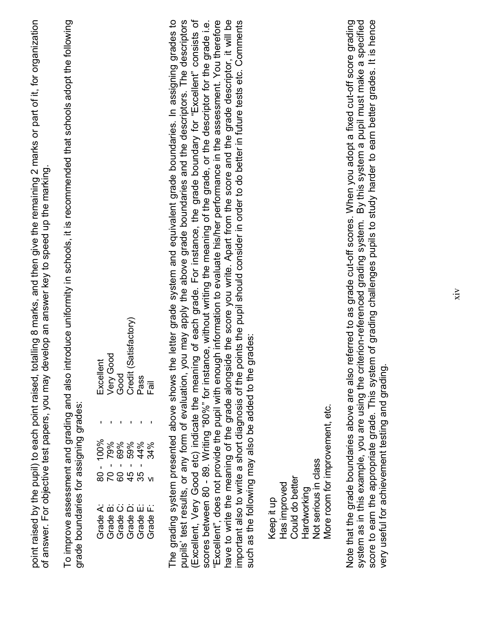point raised by the pupil) to each point raised, totalling 8 marks, and then give the remaining 2 marks or part of it, for organization point raised by the pupil) to each point raised, totalling 8 marks, and then give the remaining 2 marks or part of it, for organization of answer. For objective test papers, you may develop an answer key to speed up the marking. of answer. For objective test papers, you may develop an answer key to speed up the marking. To improve assessment and grading and also introduce uniformity in schools, it is recommended that schools adopt the following To improve assessment and grading and also introduce uniformity in schools, it is recommended that schools adopt the following grade boundaries for assigning grades: grade boundaries for assigning grades:

| Excellent      |  | Very Good<br>Good<br>Credit (Satisfactory)   | Pass | $\overline{E}$ |
|----------------|--|----------------------------------------------|------|----------------|
|                |  |                                              |      |                |
| $\overline{1}$ |  | <b>0000439</b><br>00004399                   |      |                |
|                |  | 8 2 8 4 3 4<br>8 4 9 7                       |      |                |
| Grade A:       |  | Grade B:<br>Grade D:<br>Grade B:<br>Grade D: |      | Grade F:       |

have to write the meaning of the grade alongside the score you write. Apart from the score and the grade descriptor, it will be The grading system presented above shows the letter grade system and equivalent grade boundaries. In assigning grades to pupils' test results, or any form of evaluation, you may apply the above grade boundaries and the descriptors. The descriptors (Excellent, Very Good etc) indicate the meaning of each grade. For instance, the grade boundary for "Excellent" consists of 'Excellent", does not provide the pupil with enough information to evaluate his/her performance in the assessment. You therefore important also to write a short diagnosis of the points the pupil should consider in order to do better in future tests etc. Comments The grading system presented above shows the letter grade system and equivalent grade boundaries. In assigning grades to pupils' test results, or any form of evaluation, you may apply the above grade boundaries and the descriptors. The descriptors (Excellent, Very Good etc) indicate the meaning of each grade. For instance, the grade boundary for "Excellent" consists of scores between 80 - 89. Writing "80%" for instance, without writing the meaning of the grade, or the descriptor for the grade i.e. "Excellent", does not provide the pupil with enough information to evaluate his/her performance in the assessment. You therefore have to write the meaning of the grade alongside the score you write. Apart from the score and the grade descriptor, it will be scores between 80 - 89. Writing "80%" for instance, without writing the meaning of the grade, or the descriptor for the grade i.e. important also to write a short diagnosis of the points the pupil should consider in order to do better in future tests etc. Comments such as the following may also be added to the grades: such as the following may also be added to the grades:

More room for improvement, etc. More room for improvement, etc. **Not serious in class**  Not serious in class Could do better Could do better Has improved Has improved Hardworking Hardworking Keep it up Keep it up

Note that the grade boundaries above are also referred to as grade cut-off scores. When you adopt a fixed cut-off score grading system as in this example, you are using the criterion-referenced grading system. By this system a pupil must make a specified score to earn the appropriate grade. This system of grading challenges pupils to study harder to earn better grades. It is hence score to earn the appropriate grade. This system of grading challenges pupils to study harder to earn better grades. It is hence Note that the grade boundaries above are also referred to as grade cut-off scores. When you adopt a fixed cut-off score grading system as in this example, you are using the criterion-referenced grading system. By this system a pupil must make a specified very useful for achievement testing and grading. very useful for achievement testing and grading.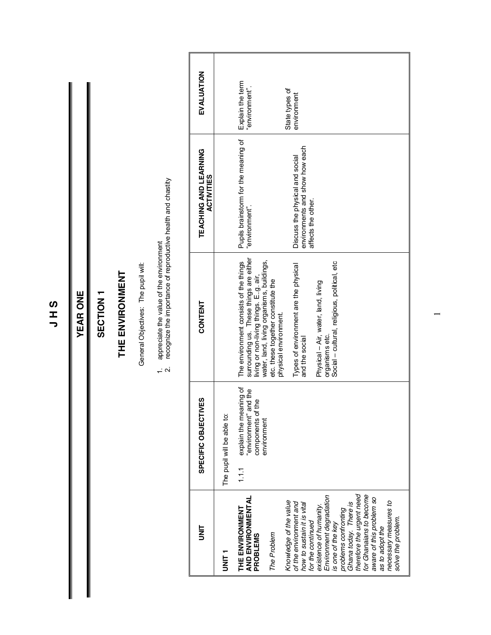**J H S**

#### **YEAR ONE YEAR ONE**

#### SECTION<sub>1</sub> **SECTION 1**

### THE ENVIRONMENT **THE ENVIRONMENT**

General Objectives: The pupil will: General Objectives: The pupil will:

- 1. appreciate the value of the environment
- 1. appreciate the value of the environment<br>2. recognize the importance of reproductive health and chastity 2. recognize the importance of reproductive health and chastity

|                                                                                                                       | <b>SPECIFIC OBJECTIVES</b>                                                   | CONTENT                                                                                                                     | TEACHING AND LEARNING<br><b>ACTIVITIES</b>                        | EVALUATION                         |
|-----------------------------------------------------------------------------------------------------------------------|------------------------------------------------------------------------------|-----------------------------------------------------------------------------------------------------------------------------|-------------------------------------------------------------------|------------------------------------|
| T<br>NH<br>S                                                                                                          | The pupil will be able to:                                                   |                                                                                                                             |                                                                   |                                    |
| THE ENVIRONMENT<br>AND ENVIRONMENTAL<br><b>PROBLEMS</b>                                                               | explain the meaning of<br>"environment" and the<br>components of the<br>1.11 | surrounding us. These things are either<br>The environment consists of the things<br>living or non-living things. E.g. air, | Pupils brainstorm for the meaning of<br>"environment".            | Explain the term<br>"environment". |
| The Problem                                                                                                           | environment                                                                  | water, land, living organisms, buildings,<br>etc. these together constitute the<br>physical environment.                    |                                                                   |                                    |
| Knowledge of the value<br>of the environment and<br>how to sustain it is vital                                        |                                                                              | Types of environment are the physical<br>and the social                                                                     | environments and show how each<br>Discuss the physical and social | State types of<br>environment      |
| Environment degradation<br>existence of humanity.<br>for the continued<br>is one of the key                           |                                                                              | Social - cultural, religious, political, etc<br>Physical - Air, water, land, living<br>organisms etc.                       | affects the other.                                                |                                    |
| Ghana today. There is<br>therefore the urgent need<br>problems contronting                                            |                                                                              |                                                                                                                             |                                                                   |                                    |
| for Ghanaians to become<br>aware of this problem so<br>necessary measures to<br>solve the problem.<br>as to adopt the |                                                                              |                                                                                                                             |                                                                   |                                    |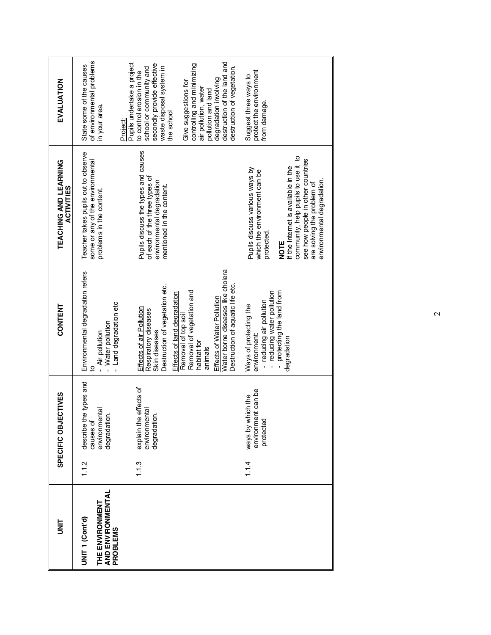| is<br>S                                                                               |       | SPECIFIC OBJECTIVES                                                  | CONTENT                                                                                                                                                                           | TEACHING AND LEARNING<br><b>ACTIVITIES</b>                                                                                                                                                                                                                         | EVALUATION                                                                                                                                                                             |
|---------------------------------------------------------------------------------------|-------|----------------------------------------------------------------------|-----------------------------------------------------------------------------------------------------------------------------------------------------------------------------------|--------------------------------------------------------------------------------------------------------------------------------------------------------------------------------------------------------------------------------------------------------------------|----------------------------------------------------------------------------------------------------------------------------------------------------------------------------------------|
| AND ENVIRONMENTAL<br>THE ENVIRONMENT<br>UNIT <sub>1</sub> (Cont'd)<br><b>PROBLEMS</b> | 1.12  | describe the types and<br>environmental<br>degradation.<br>causes of | Environmental degradation refers<br>- Land degradation etc<br>- Water pollution<br>- Air pollution<br><u>۽</u>                                                                    | Teacher takes pupils out to observe<br>some or any of the environmental<br>problems in the content.                                                                                                                                                                | of environmental problems<br>State some of the causes<br>in your area.                                                                                                                 |
|                                                                                       | 1.1.3 | effects of<br>environmental<br>degradation.<br>explain the           | Destruction of vegetation etc.<br>Effects of land degradation<br>Effects of air Pollution<br>Respiratory diseases<br>Skin diseases                                                | Pupils discuss the types and causes<br>of each of the three types of<br>environmental degradation<br>mentioned in the content.                                                                                                                                     | Pupils undertake a project<br>secondly provide effective<br>school or community and<br>waste disposal system in<br>to control erosion in the<br>the school<br>Project:                 |
|                                                                                       |       |                                                                      | Water borne diseases like cholera<br>Destruction of aquatic life etc.<br>Removal of vegetation and<br>Effects of Water Pollution<br>Removal of top soil<br>habitat for<br>animals |                                                                                                                                                                                                                                                                    | destruction of the land and<br>controlling and minimizing<br>destruction of vegetation.<br>degradation involving<br>Give suggestions for<br>air pollution, water<br>pollution and land |
|                                                                                       | 1.14  | environment can be<br>ways by which the<br>protected                 | - reducing water pollution<br>- protecting the land from<br>- reducing air pollution<br>Ways of protecting the<br>environment:<br>degradation                                     | community, help pupils to use it to<br>see how people in other countries<br>If the Internet is available in the<br>Pupils discuss various ways by<br>which the environment can be<br>environmental degradation.<br>are solving the problem of<br>protected<br>NOTE | protect the environment<br>Suggest three ways to<br>from damage.                                                                                                                       |
|                                                                                       |       |                                                                      |                                                                                                                                                                                   |                                                                                                                                                                                                                                                                    |                                                                                                                                                                                        |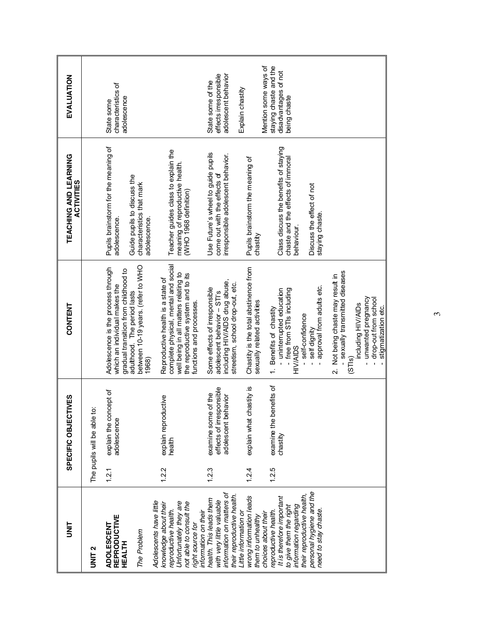| EVALUATION                          |                              | characteristics of<br>adolescence<br>State some                                                             |                                                                            |                                                                                                                                                                                      | adolescent behavior<br>effects irresponsible<br>State some of the                                                                                | Mention some ways of<br>Explain chastity                                                              | staying chaste and the<br>disadvantages of not<br>being chaste                                                                            |                                                 |                                                                                |                                                                                         |
|-------------------------------------|------------------------------|-------------------------------------------------------------------------------------------------------------|----------------------------------------------------------------------------|--------------------------------------------------------------------------------------------------------------------------------------------------------------------------------------|--------------------------------------------------------------------------------------------------------------------------------------------------|-------------------------------------------------------------------------------------------------------|-------------------------------------------------------------------------------------------------------------------------------------------|-------------------------------------------------|--------------------------------------------------------------------------------|-----------------------------------------------------------------------------------------|
| TEACHING AND LEARNING<br>ACTIVITIES |                              | Pupils brainstorm for the meaning of<br>adolescence.                                                        | Guide pupils to discuss the<br>characteristics that mark<br>adolescence.   | Teacher guides class to explain the<br>meaning of reproductive health.<br>(WHO 1968 definition)                                                                                      | Use Future's wheel to guide pupils<br>irresponsible adolescent behavior.<br>come out with the effects of                                         | Pupils brainstorm the meaning of<br>chastity                                                          | Class discuss the benefits of staying<br>chaste and the effects of immoral<br>behaviour.                                                  | Discuss the effect of not<br>staying chaste.    |                                                                                |                                                                                         |
| CONTENT                             |                              | Adolescence is the process through<br>gradual transition from childhood to<br>which an individual makes the | between 10-19 years. (refer to WHO<br>adulthood. The period lasts<br>1968) | complete physical, mental and social<br>well being in all matters relating to<br>the reproductive system and to its<br>Reproductive health is a state of<br>functions and processes. | including HIV/AIDS drug abuse,<br>streetism, school drop-out, etc.<br>Some effects of irresponsible<br>adolescent behavior - STI's               | Chastity is the total abstinence from<br>sexually related activities                                  | - uninterrupted education<br>- free from STIs including<br>1. Benefits of chastity<br>self-confidence<br><b>HIV/AIDS</b>                  | approval from adults etc.<br>self dignity       | - sexually transmitted diseases<br>2. Not being chaste may result in<br>(STIs) | unwanted pregnancy<br>drop-out from school<br>including HIV/AIDs<br>stigmatization etc. |
| SPECIFIC OBJECTIVES                 | ë<br>The pupils will be able | explain the concept of<br>adolescence                                                                       |                                                                            | explain reproductive<br>health                                                                                                                                                       | effects of irresponsible<br>examine some of the<br>ehavior<br>adolescent b                                                                       | chastity is<br>explain what                                                                           | benefits of<br>examine the<br>chastity                                                                                                    |                                                 |                                                                                |                                                                                         |
| is<br>S                             | UNIT <sub>2</sub>            | 1.2.1<br><b>REPRODUCTIVE</b><br>ADOLESCENT<br>HEALTH                                                        | The Problem                                                                | 1.2.2<br>Adolescents have little<br>Unfortunately they are<br>not able to consult the<br>knowledge about their<br>reproductive health.<br>right source for                           | 1.2.3<br>information on matters of<br>their reproductive health.<br>health. This leads them<br>with very little valuable<br>information on their | 1.2.4<br>wrong information leads<br>Little information or<br>choices about their<br>them to unhealthy | 1.2.5<br>their reproductive health,<br>It is therefore important<br>information regarding<br>to give them the right<br>eproductive health | personal hygiene and the<br>need to stay chaste |                                                                                |                                                                                         |

 $\omega$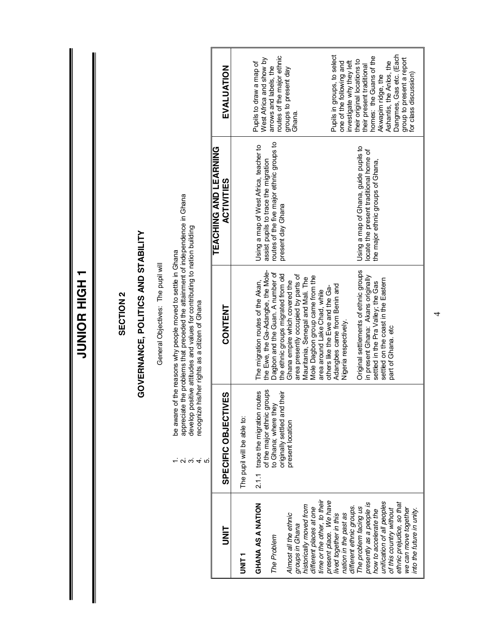|                                                                                                                                      |                                                                                                                           | <b>TUNIOR HIGH</b>                                                                                                                                                                                                                                                          |                                                                                                                                                  |                                                                                                                                       |
|--------------------------------------------------------------------------------------------------------------------------------------|---------------------------------------------------------------------------------------------------------------------------|-----------------------------------------------------------------------------------------------------------------------------------------------------------------------------------------------------------------------------------------------------------------------------|--------------------------------------------------------------------------------------------------------------------------------------------------|---------------------------------------------------------------------------------------------------------------------------------------|
|                                                                                                                                      |                                                                                                                           | <b>SECTION 2</b>                                                                                                                                                                                                                                                            |                                                                                                                                                  |                                                                                                                                       |
|                                                                                                                                      |                                                                                                                           | GOVERNANCE, POLITICS AND STABILITY                                                                                                                                                                                                                                          |                                                                                                                                                  |                                                                                                                                       |
|                                                                                                                                      |                                                                                                                           | General Objectives: The pupil will                                                                                                                                                                                                                                          |                                                                                                                                                  |                                                                                                                                       |
|                                                                                                                                      | $ \alpha$ $\omega$ $+$ $\alpha$                                                                                           | appreciate the problems that preceded the attainment of independence in Ghana<br>develop positive attitudes and values for contributing to nation building<br>be aware of the reasons why people moved to settle in Ghana<br>recognize his/her rights as a citizen of Ghana |                                                                                                                                                  |                                                                                                                                       |
| b<br>S                                                                                                                               | SPECIFIC OBJECTIVES                                                                                                       | <b>CONTENT</b>                                                                                                                                                                                                                                                              | TEACHING AND LEARNING<br><b>ACTIVITIES</b>                                                                                                       | EVALUATION                                                                                                                            |
| T<br>INIT<br>IS                                                                                                                      | The pupil will be able to:                                                                                                |                                                                                                                                                                                                                                                                             |                                                                                                                                                  |                                                                                                                                       |
| GHANA AS A NATION<br>The Problem                                                                                                     | of the major ethnic groups<br>trace the migration routes<br>originally settled and their<br>to Ghana; where they<br>2.1.1 | the Ewe, the Ga-Adangbe, the Mole-<br>Dagbon and the Guan. A number of<br>the ethnic groups migrated from old<br>The migration routes of the Akan,                                                                                                                          | routes of the five major ethnic groups to<br>Using a map of West Africa, teacher to<br>assist pupils to trace the migration<br>present day Ghana | routes of the major ethnic<br>West Africa and show by<br>Pupils to draw a map of<br>arrows and labels, the                            |
| historically moved from<br>different places at one<br>Almost all the ethnic<br>groups in Ghana                                       | present location                                                                                                          | area presently occupied by parts of<br>Mole Dagbon group came from the<br>Mauritania, Senegal and Mali. The<br>Ghana empire which covered the                                                                                                                               |                                                                                                                                                  | groups to present day<br>Ghana                                                                                                        |
| time or the other, to their<br>present place. We have<br>different ethnic groups.<br>nation in the past as<br>lived together in this |                                                                                                                           | Adangbes came from Benin and<br>others like the Ewe and the Ga-<br>area around Lake Chad, while<br>Nigeria respectively.                                                                                                                                                    |                                                                                                                                                  | Pupils in groups, to select<br>one of the following and<br>investigate why they left                                                  |
| unification of all peoples<br>presently as a people is<br>The problem facing us<br>how to accelerate the                             |                                                                                                                           | Original settlements of ethnic groups<br>in present Ghana: Akans originally<br>settled on the coast in the Eastern<br>settled in the Pra Valley; the Gas                                                                                                                    | Using a map of Ghana, guide pupils to<br>locate the present traditional home of<br>the major ethnic groups of Ghana,                             | homes: the Guans of the<br>their original locations to<br>Ashantis, the Anlos, the<br>their present traditional<br>Akwapim ridge, the |
| ethnic prejudice, so that<br>we can move together<br>of this country without<br>into the future in unity.                            |                                                                                                                           | part of Ghana. etc                                                                                                                                                                                                                                                          |                                                                                                                                                  | Dangmes, Gas etc. (Each<br>group to present a report<br>for class discussion)                                                         |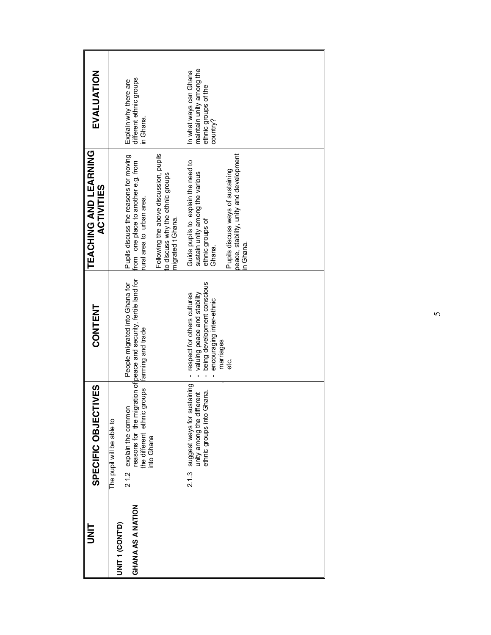| I<br>I<br>S                            | SPECIFIC OBJECTIVES                                                                                     | <b>CONTENT</b>                                                                                                           | TEACHING AND LEARNING<br><b>ACTIVITIES</b>                                                               | EVALUATION                                                                             |
|----------------------------------------|---------------------------------------------------------------------------------------------------------|--------------------------------------------------------------------------------------------------------------------------|----------------------------------------------------------------------------------------------------------|----------------------------------------------------------------------------------------|
| UNIT <sub>1</sub> (CONT <sup>D</sup> ) | The pupil will be able to                                                                               |                                                                                                                          |                                                                                                          |                                                                                        |
| GHANA AS A NATION                      | groups<br>21.2 explain the common<br>the different ethnic<br>into Ghana                                 | reasons for the migration of peace and security, fertile land for<br>People migrated into Ghana for<br>farming and trade | Pupils discuss the reasons for moving<br>from one place to another e.g. from<br>ural area to urban area. | Explain why there are<br>different ethnic groups<br>in Ghana.                          |
|                                        |                                                                                                         |                                                                                                                          | Following the above discussion, pupils<br>to discuss why the ethnic groups<br>migrated t Ghana.          |                                                                                        |
|                                        | suggest ways for sustaining<br>Ghana.<br>unity among the different<br>ethnic groups into Ghana<br>2.1.3 | being development conscious<br>- respect for others cultures<br>valuing peace and stability<br>encouraging inter-ethnic  | Guide pupils to explain the need to<br>sustain unity among the various<br>ethnic groups of<br>Ghana.     | maintain unity among the<br>In what ways can Ghana<br>ethnic groups of the<br>country? |
|                                        |                                                                                                         | marriages<br>မ္မ                                                                                                         | peace, stability, unity and development<br>Pupils discuss ways of sustaining<br>n Ghana.                 |                                                                                        |
|                                        |                                                                                                         |                                                                                                                          |                                                                                                          |                                                                                        |
|                                        |                                                                                                         |                                                                                                                          |                                                                                                          |                                                                                        |
|                                        |                                                                                                         |                                                                                                                          |                                                                                                          |                                                                                        |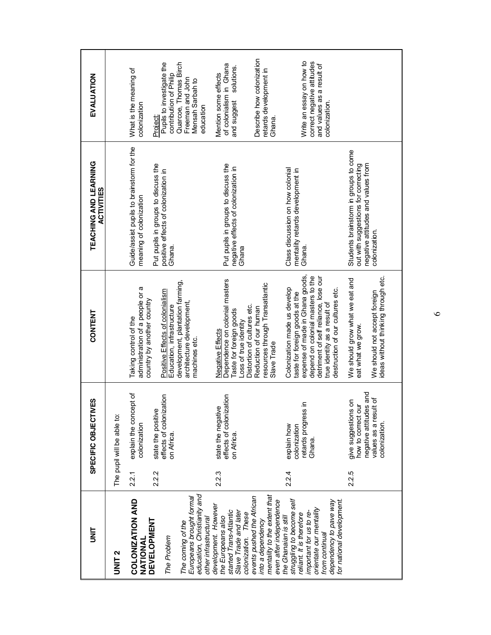| i<br>N                                                                                                                                                                                                       |       | SPECIFIC OBJECTIVES                                                                                              | CONTENT                                                                                                                                                                                                                                            | TEACHING AND LEARNING<br><b>ACTIVITIES</b>                                                                                          | EVALUATION                                                                                           |
|--------------------------------------------------------------------------------------------------------------------------------------------------------------------------------------------------------------|-------|------------------------------------------------------------------------------------------------------------------|----------------------------------------------------------------------------------------------------------------------------------------------------------------------------------------------------------------------------------------------------|-------------------------------------------------------------------------------------------------------------------------------------|------------------------------------------------------------------------------------------------------|
| UNIT <sub>2</sub>                                                                                                                                                                                            |       | The pupil will be able to:                                                                                       |                                                                                                                                                                                                                                                    |                                                                                                                                     |                                                                                                      |
| COLONIZATION AND<br>NATIONAL                                                                                                                                                                                 | 2.2.1 | explain the concept of<br>colonization                                                                           | administration of a people or a<br>Taking control of the                                                                                                                                                                                           | Guide/assist pupils to brainstorm for the<br>meaning of colonization                                                                | What is the meaning of<br>colonization                                                               |
| <b>DEVELOPMENT</b><br>The Problem                                                                                                                                                                            | 2.2.2 | effects of colonization<br>$\mathfrak{G}$<br>state the positiv<br>on Africa.                                     | Positive Effects of colonialism<br>country by another country<br>Education, infrastructure                                                                                                                                                         | Put pupils in groups to discuss the<br>positive effects of colonization in<br>Ghana.                                                | Pupils to investigate the<br>contribution of Philip<br>Project:                                      |
| education, Christianity and<br>Europeans brought formal<br>other infrastructural<br>The coming of the                                                                                                        |       |                                                                                                                  | development, plantation farming,<br>architecture development,<br>machines etc.                                                                                                                                                                     |                                                                                                                                     | Quarcoe, Thomas Birch<br>Freeman and John<br>Mensah Sarbah to<br>education                           |
| development. However<br>started Trans-Atlantic<br>Slave Trade and later<br>colonization. These<br>the Europeans also                                                                                         | 2.2.3 | effects of colonization<br>state the negative<br>on Africa.                                                      | Dependence on colonial masters<br>Taste for foreign goods<br>Loss of true identity<br>Negative Effects                                                                                                                                             | Put pupils in groups to discuss the<br>negative effects of colonization in<br>Ghana                                                 | of colonialism in Ghana<br>solutions.<br>Mention some effects<br>and suggest                         |
| mentality to the extent that<br>events pushed the African<br>even after independence<br>into a dependency                                                                                                    |       |                                                                                                                  | resources through Transatlantic<br>Distortion of cultures etc.<br>Reduction of our human<br>Slave Trade                                                                                                                                            |                                                                                                                                     | Describe how colonization<br>retards development in<br>Ghana.                                        |
| struggling to become self<br>dependency to pave way<br>or national development.<br>orientate our mentality<br>important for us to re-<br>reliant. It is therefore<br>the Ghanaian is still<br>from continual | 2.2.4 | retards progress in<br>colonization<br>explain how<br>Ghana.                                                     | expense of made in Ghana goods,<br>detriment of self reliance, lose our<br>depend on colonial masters to the<br>Colonization made us develop<br>destruction of our cultures etc.<br>taste for foreign goods at the<br>true identity as a result of | Class discussion on how colonial<br>mentality retards development in<br>Ghana                                                       | Write an essay on how to<br>correct negative attitudes<br>and values as a result of<br>colonization. |
|                                                                                                                                                                                                              | 2.2.5 | negative attitudes and<br>values as a result of<br>give suggestions on<br>Jmo<br>how to correct<br>colonization. | ideas without thinking through etc.<br>We should grow what we eat and<br>We should not accept foreign<br>eat what we grow.                                                                                                                         | Students brainstorm in groups to come<br>negative attitudes and values from<br>out with suggestions for correcting<br>colonization. |                                                                                                      |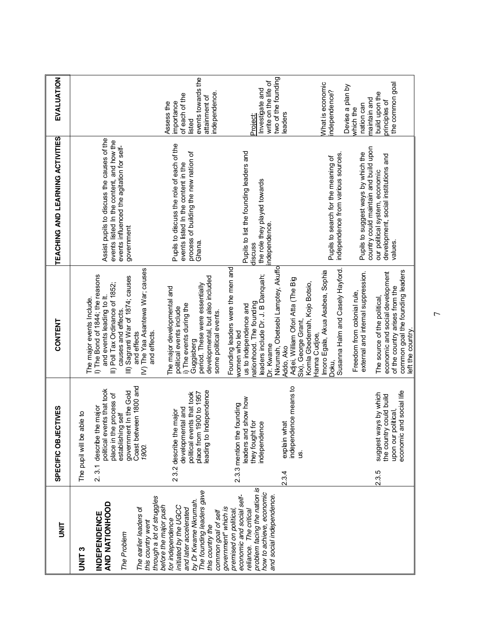| i<br>M                                                                                           | ECTIVES<br>SPECIFIC OBJ                                                                                                     | CONTENT                                                                                          | TEACHING AND LEARNING ACTIVITIES                                                        | EVALUATION                                     |
|--------------------------------------------------------------------------------------------------|-----------------------------------------------------------------------------------------------------------------------------|--------------------------------------------------------------------------------------------------|-----------------------------------------------------------------------------------------|------------------------------------------------|
| <b>ONITS</b>                                                                                     | The pupil will be able to                                                                                                   | The major events Include.                                                                        |                                                                                         |                                                |
| AND NATIONHOOD<br>INDEPENDENCE                                                                   | political events that took<br>the process of<br>describe the major<br>place in<br>$\overline{3}$<br>$\overline{\mathsf{N}}$ | I) The Bond of 1844; the reasons<br>II) Poll Tax Ordinance of 1852;<br>and events leading to It. | Assist pupils to discuss the causes of the<br>events listed In the content, and how the |                                                |
| The Problem                                                                                      | government in the Gold<br>establishing self                                                                                 | Sagranti War of 1874; causes<br>causes and effects.<br>≘                                         | events influenced the agitation for self-<br>government                                 |                                                |
| The earlier leaders of<br>this country went                                                      | Coast between 1800 and<br>1900.                                                                                             | The Yaa Asantewa War; causes<br>and effects<br>and effects.<br>$\hat{\ge}$                       |                                                                                         |                                                |
| through a lot of struggles<br>before the major push<br>initiated by the UGCC<br>for independence | the major<br>23.2 describe                                                                                                  | The major developmental and<br>political events include                                          | Pupils to discuss the role of each of the                                               | importance<br>Assess the                       |
| by Dr Kwame Nkrumah.<br>and later accelerated                                                    | political events that took<br>place from 1900 to 1957<br>developmental and                                                  | period. These were essentially<br>i) The events during the<br>Guggisberg                         | process of building the new nation of<br>events listed In the content in the<br>Ghana.  | events towards the<br>of each of the<br>listed |
| The founding leaders gave<br>common goal of self<br>this country the                             | eading to Independence                                                                                                      | developmental, but also included<br>some political events.                                       |                                                                                         | independence<br>attainment of                  |
| economic and social self-<br>government" which is<br>premised on political                       | 2.3.3 mention the founding                                                                                                  | Founding leaders were the men and<br>women who led                                               |                                                                                         |                                                |
| problem facing the nation is<br>reliance. The critical                                           | leaders and show how<br>they fought for                                                                                     | nationhood. The founding<br>us to independence and                                               | Pupils to list the founding leaders and<br>discuss                                      | <b>Project:</b>                                |
| how to achieve, economic<br>and social independence.                                             | independence                                                                                                                | leaders include Dr. J. B Danquah;<br>Dr. Kwame                                                   | the role they played towards<br>ndependence.                                            | write on the life of<br>Investigate and        |
|                                                                                                  | explain what<br>2.3.4                                                                                                       | Nkrumah, Obetsebi Lamptey, Akuffo<br>Addo, Ako                                                   |                                                                                         | two of the founding<br>leaders                 |
|                                                                                                  | independence means to<br>g.                                                                                                 | Adjei, William Ofori Atta (The Big<br>Six), George Grant,                                        |                                                                                         |                                                |
|                                                                                                  |                                                                                                                             | Komla Gbedemah, Kojo Botsio,                                                                     |                                                                                         |                                                |
|                                                                                                  |                                                                                                                             | Imoro Egala, Akua Asabea, Sophia<br>Hanna Cudioe,                                                |                                                                                         | What is economic                               |
|                                                                                                  |                                                                                                                             | Susanna Halm and Casely Hayford<br>Doku.                                                         | independence from various sources.<br>Pupils to search for the meaning of               | ndependence?                                   |
|                                                                                                  |                                                                                                                             | external and internal suppression.<br>Freedom from colonial rule,                                | Pupils to suggest ways by which the                                                     | Devise a plan by<br>nation can<br>which the    |
|                                                                                                  | ways by which<br>suggest<br>2.3.5                                                                                           | The source of the political                                                                      | country could maintain and build upon<br>our political system, economic                 | build upon the<br>maintain and                 |
|                                                                                                  | the country could build                                                                                                     | economic and social development                                                                  | development, social institutions and                                                    | principles of                                  |
|                                                                                                  | economic and social life<br>upon our political,                                                                             | common goal the founding leaders<br>of the country arises from the<br>left the country.          | values                                                                                  | the common goal                                |

 $\overline{ }$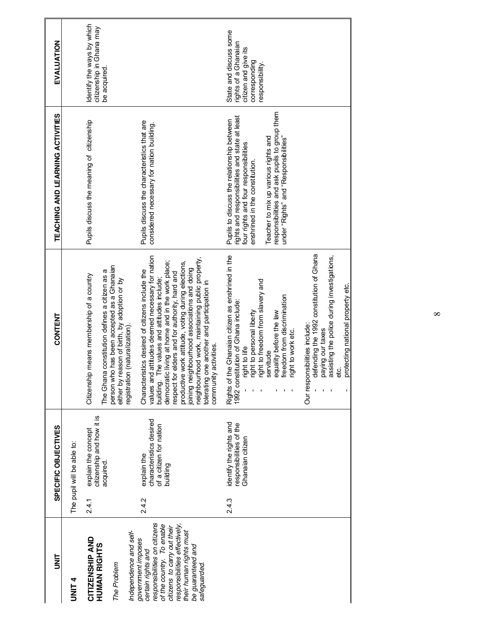| m<br>N                                                                                                                                                                                          |       | SPECIFIC OBJECTIVES                                                           | CONTENT                                                                                                                                                                                                                                                                                    | TEACHING AND LEARNING ACTIVITIES                                                                                                                                        | EVALUATION                                                                          |
|-------------------------------------------------------------------------------------------------------------------------------------------------------------------------------------------------|-------|-------------------------------------------------------------------------------|--------------------------------------------------------------------------------------------------------------------------------------------------------------------------------------------------------------------------------------------------------------------------------------------|-------------------------------------------------------------------------------------------------------------------------------------------------------------------------|-------------------------------------------------------------------------------------|
| <b>UNIT4</b>                                                                                                                                                                                    |       | The pupil will be able to:                                                    |                                                                                                                                                                                                                                                                                            |                                                                                                                                                                         |                                                                                     |
| CITIZENSHIP AND                                                                                                                                                                                 | 2.4.1 | explain the concept                                                           | Citizenship means membership of a country                                                                                                                                                                                                                                                  | Pupils discuss the meaning of citizenship                                                                                                                               | Identify the ways by which<br>citizenship in Ghana may                              |
| HUMAN RIGHTS<br>The Problem                                                                                                                                                                     |       | citizenship and how it is<br>acquired.                                        | person who has been accepted as a Ghanaian<br>The Ghana constitution defines a citizen as a<br>either by reason of birth, by adoption or by                                                                                                                                                |                                                                                                                                                                         | be acquired.                                                                        |
| responsibilities on citizens<br>responsibilities effectively,<br>of the country. To enable<br>citizens to carry out their<br>Independence and self-<br>government imposes<br>certain rights and | 2.4.2 | characteristics desired<br>of a citizen for nation<br>explain the<br>building | values and attitudes deemed necessary for nation<br>building. The values and attitudes include;<br>democratic living at home and in the work place;<br>Characteristics desired of citizens include the<br>respect for elders and for authority, hard and<br>registration (naturalization). | Pupils discuss the characteristics that are<br>considered necessary for nation building.                                                                                |                                                                                     |
| their human rights must<br>be guaranteed and<br>safeguarded.                                                                                                                                    |       |                                                                               | neighbourhood work, maintaining public property,<br>productive work attitude, voting during elections,<br>joining neighbourhood associations and doing<br>tolerating one another and participation in<br>community activities.                                                             |                                                                                                                                                                         |                                                                                     |
|                                                                                                                                                                                                 | 2.4.3 | identify the rights and<br>responsibilities of the<br>Ghanaian citizen        | Rights of the Ghanaian citizen as enshrined in the<br>1992 constitution of Ghana include:<br>ight to personal liberty<br>ight to life                                                                                                                                                      | rights and responsibilities and state at least<br>Pupils to discuss the relationship between<br>four rights and four responsibilities<br>enshrined in the constitution. | State and discuss some<br>rights of a Ghanaian<br>citizen and give<br>corresponding |
|                                                                                                                                                                                                 |       |                                                                               | ight to freedom from slavery and<br>reedom from discrimination<br>quality before the law<br>ight to work etc.<br>servitude                                                                                                                                                                 | responsibilities and ask pupils to group them<br>under "Rights" and "Responsibilities"<br>Teacher to mix up various rights and                                          | esponsibility.                                                                      |
|                                                                                                                                                                                                 |       |                                                                               | defending the 1992 constitution of Ghana<br>assisting the police during investigations,<br>protecting national property etc.<br>Our responsibilities include:<br>paying our taxes<br>etc.                                                                                                  |                                                                                                                                                                         |                                                                                     |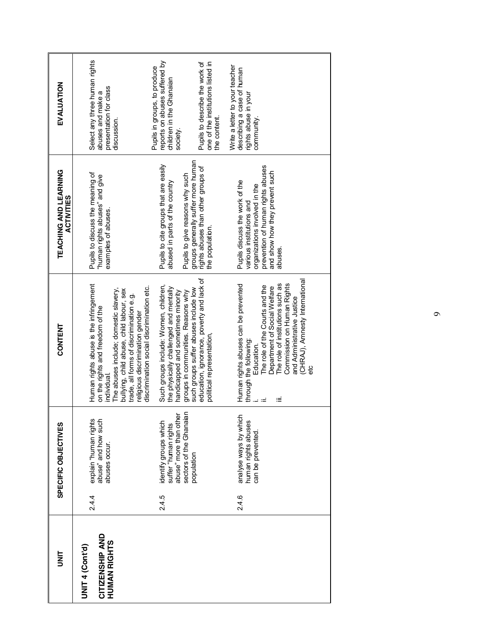| iki<br>S                                           |       | SPECIFIC OBJECTIVES                                                                                | CONTENT                                                                                                                                                                                                                                                                                                    | TEACHING AND LEARNING<br><b>ACTIVITIES</b>                                                                                                                                    | EVALUATION                                                                                           |
|----------------------------------------------------|-------|----------------------------------------------------------------------------------------------------|------------------------------------------------------------------------------------------------------------------------------------------------------------------------------------------------------------------------------------------------------------------------------------------------------------|-------------------------------------------------------------------------------------------------------------------------------------------------------------------------------|------------------------------------------------------------------------------------------------------|
| CITIZENSHIP AND<br>HUMAN RIGHTS<br>UNIT 4 (Cont'd) | 2.4.4 | abuse" and how such<br>explain "human rights<br>abuses occur.                                      | Human rights abuse is the infringement<br>discrimination social discrimination etc.<br>The abuses include; domestic slavery,<br>bullying, child abuse, child labour, sex<br>trade, all forms of discrimination e.g.<br>on the rights and freedom of the<br>religious discrimination gender<br>individual.  | Pupils to discuss the meaning of<br>"human rights abuses" and give<br>examples of abuses.                                                                                     | Select any three human rights<br>presentation for class<br>abuses and make a<br>discussion.          |
|                                                    | 2.4.5 | abuse" more than other<br>sectors of the Ghanaian<br>identify groups which<br>suffer "human rights | Such groups include: Women, children,<br>the physically challenged and mentally<br>handicapped and sometimes minority<br>groups in communities. Reasons why                                                                                                                                                | Pupils to cite groups that are easily<br>Pupils to give reasons why such<br>abused in parts of the country                                                                    | reports on abuses suffered by<br>Pupils in groups, to produce<br>children in the Ghanaian<br>society |
|                                                    |       | population                                                                                         | education, ignorance, poverty and lack of<br>such groups suffer abuses include low<br>political representation,                                                                                                                                                                                            | groups generally suffer more human<br>rights abuses than other groups of<br>the population                                                                                    | Pupils to describe the work of<br>one of the institutions listed in<br>the content.                  |
|                                                    | 2.4.6 | analyse ways by which<br>human rights abuses<br>can be prevented                                   | (CHRAJ), Amnesty International<br>Commission on Human Rights<br>Human rights abuses can be prevented<br>The role of institutions such as<br>The role of the Courts and the<br>Department of Social Welfare<br>and Administrative Justice<br>through the following:<br>Education.<br>≡<br>$\equiv$ $\equiv$ | prevention of human rights abuses<br>and show how they prevent such<br>Pupils discuss the work of the<br>organizations involved in the<br>various institutions and<br>abuses. | Write a letter to your teacher<br>describing a case of human<br>rights abuse in your<br>community.   |
|                                                    |       |                                                                                                    |                                                                                                                                                                                                                                                                                                            |                                                                                                                                                                               |                                                                                                      |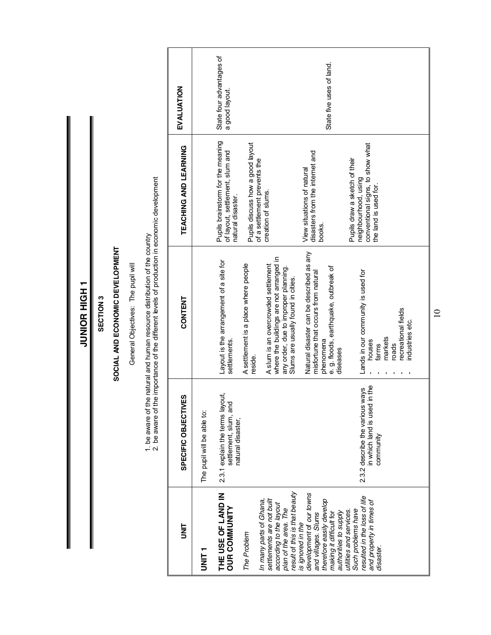JUNIOR HIGH1 **THUIT EOINDR** 

SECTION 3 **SECTION 3**

### SOCIAL AND ECONOMIC DEVELOPMENT **SOCIAL AND ECONOMIC DEVELOPMENT**

General Objectives: The pupil will General Objectives: The pupil will

1. be aware of the natural and human resource distribution of the country<br>2. be aware of the importance of the different levels of production in economic development 2. be aware of the importance of the different levels of production in economic development 1. be aware of the natural and human resource distribution of the country

| mar<br>S                                                                                                                                             | SPECIFIC OBJECTIVES                                                           | <b>CONTENT</b>                                                                                                                                               | TEACHING AND LEARNING                                                                                              | EVALUATION                                 |
|------------------------------------------------------------------------------------------------------------------------------------------------------|-------------------------------------------------------------------------------|--------------------------------------------------------------------------------------------------------------------------------------------------------------|--------------------------------------------------------------------------------------------------------------------|--------------------------------------------|
| T<br>L<br>N<br>N<br>N                                                                                                                                | The pupil will be able to:                                                    |                                                                                                                                                              |                                                                                                                    |                                            |
| THE USE OF LAND IN<br><b>OUR COMMUNITY</b>                                                                                                           | 2.3.1 explain the terms layout,<br>settlement, slum, and<br>natural disaster, | Layout is the arrangement of a site for<br>settlements.                                                                                                      | Pupils brainstorm for the meaning<br>of layout, settlement, slum and<br>natural disaster.                          | State four advantages of<br>a good layout. |
| The Problem                                                                                                                                          |                                                                               | A settlement is a place where people<br>reside.                                                                                                              | Pupils discuss how a good layout<br>of a settlement prevents the                                                   |                                            |
| result of this is that beauty<br>settlements are not built<br>In many parts of Ghana,<br>according to the layout<br>plan of the area. The            |                                                                               | where the buildings are not arranged in<br>A slum is an overcrowded settlement<br>any order, due to improper planning.<br>Slums are usually found in cities. | creation of slums.                                                                                                 |                                            |
| development of our towns<br>therefore easily develop<br>making it difficult for<br>authorities to supply<br>and villages. Slums<br>is ignored in the |                                                                               | Natural disaster can be described as any<br>e. g. floods, earthquake, outbreak of<br>misfortune that occurs from natural<br>phenomena<br>diseases            | disasters from the internet and<br>View situations of natural<br>books.                                            | State five uses of land.                   |
| esulted in the loss of life<br>and property in times of<br>utilities and services.<br>Such problems have<br>disaster.                                | in which land is used in the<br>2.3.2 describe the various ways<br>community  | Lands in our community is used for<br>ecreational fields<br>industries etc.<br>markets<br>houses<br>roads<br>farms                                           | conventional signs, to show what<br>Pupils draw a sketch of their<br>neighbourhood, using<br>the land is used for. |                                            |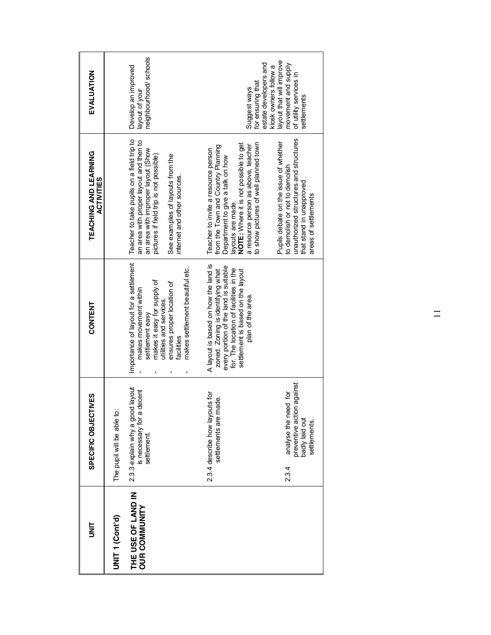| EVALUATION                                 |                            | neighbourhood/schools<br>Develop an improved<br>layout of your                                                                                                                                                                          | estate developers and<br>for ensuring that<br>Suggest ways                                                                                                                                                                                                  | layout that will improve<br>movement and supply<br>kiosk owners follow a<br>of utility services in<br>settlements                                                     |
|--------------------------------------------|----------------------------|-----------------------------------------------------------------------------------------------------------------------------------------------------------------------------------------------------------------------------------------|-------------------------------------------------------------------------------------------------------------------------------------------------------------------------------------------------------------------------------------------------------------|-----------------------------------------------------------------------------------------------------------------------------------------------------------------------|
| TEACHING AND LEARNING<br><b>ACTIVITIES</b> |                            | Teacher to take pupils on a field trip to<br>an area with proper layout and then to<br>an area with improper layout (Show<br>pictures if field trip is not possible)<br>See examples of layouts from the<br>internet and other sources. | to show pictures of well planned town<br>NOTE: Where it is not possible to get<br>a resource person as above, teacher<br>from the Town and Country Planning<br>Teacher to invite a resource person<br>Department to give a talk on how<br>layouts are made. | unauthorized structures and structures<br>Pupils debate on the issue of whether<br>to demolish or not to demolish<br>that stand in unapproved<br>areas of settlements |
| CONTENT                                    |                            | Importance of layout for a settlement<br>makes settlement beautiful etc.<br>makes it easy for supply of<br>ensures proper location of<br>makes movement within<br>utilities and services.<br>settlement easy<br>facilities              | A layout is based on how the land is<br>every portion of the land is suitable<br>for. The location of facilities in the<br>settlement is based on the layout<br>zoned. Zoning is identifying what<br>plan of the area.                                      |                                                                                                                                                                       |
| SPECIFIC OBJECTIVES                        | The pupil will be able to: | 2.3.3 explain why a good layout<br>decent<br>is necessary for a<br>settlement.                                                                                                                                                          | 2.3.4 describe how layouts for<br>made.<br>settlements are                                                                                                                                                                                                  | preventive action against<br>analyse the need for<br>badly laid out<br>settlements.<br>234                                                                            |
| in<br>S                                    | UNIT <sub>1</sub> (Cont'd) | THE USE OF LAND IN<br><b>OUR COMMUNITY</b>                                                                                                                                                                                              |                                                                                                                                                                                                                                                             |                                                                                                                                                                       |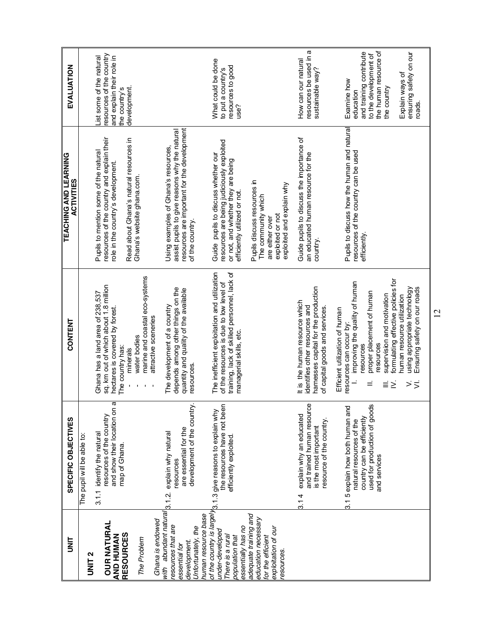| i<br>M                                       | SPECIFIC OBJECTIVES                                                                        | <b>CONTENT</b>                                                                              | TEACHING AND LEARNING<br><b>ACTIVITIES</b>                                                   | EVALUATION                                            |
|----------------------------------------------|--------------------------------------------------------------------------------------------|---------------------------------------------------------------------------------------------|----------------------------------------------------------------------------------------------|-------------------------------------------------------|
| <b>UNIT 2</b>                                | The pupil will be able to:                                                                 |                                                                                             |                                                                                              |                                                       |
|                                              | 3.1.1 identify the natural                                                                 | Ghana has a land area of 238,537                                                            | Pupils to mention some of the natural                                                        | ist some of the natural                               |
| <b>OUR NATURAL</b>                           | Ø<br>and show their location on<br>resources of the country                                | sq. km out of which about 1.8 million<br>hectares is covered by forest.                     | resources of the country and explain their<br>role in the country's development.             | resources of the country<br>and explain their role in |
| <b>RESOURCES</b><br>AND HUMAN                | map of Ghana.                                                                              | The country has:                                                                            |                                                                                              | the country's                                         |
|                                              |                                                                                            | minerals                                                                                    | Read about Ghana's natural resources in                                                      | development.                                          |
| The Problem                                  |                                                                                            | marine and coastal eco-systems<br>water bodies                                              | Ghana's website ghana.com.                                                                   |                                                       |
| Ghana is endowed                             |                                                                                            | attractive sceneries                                                                        |                                                                                              |                                                       |
| with abundant natural<br>esources that are   | explain why natural<br>3.1.2                                                               | The development of a country                                                                | Using examples of Ghana's resources,                                                         |                                                       |
| essential for                                | are essential for the<br>resources                                                         | depends among other things on the<br>quantity and quality of the available                  | resources are important for the development<br>assist pupils to give reasons why the natural |                                                       |
| Unfortunately, the<br>development.           | development of the country.                                                                | resources.                                                                                  | of the country.                                                                              |                                                       |
| human resource base                          |                                                                                            |                                                                                             |                                                                                              |                                                       |
| under-developed                              | the resources have not been<br>of the country is largely 3.1.3 give reasons to explain why | The inefficient exploitation and utilization<br>of the resources is due to low level of     | resources are being judiciously exploited<br>Guide pupils to discuss whether our             | What could be done<br>to put a country's              |
| There is a rural<br>population that          | efficiently exploited                                                                      | training, lack of skilled personnel, lack of<br>managerial skills, etc.                     | or not, and whether they are being<br>efficiently utilized or not                            | resources to good<br>use?                             |
| essentially has no                           |                                                                                            |                                                                                             |                                                                                              |                                                       |
| adequate training and<br>education necessary |                                                                                            |                                                                                             | Pupils discuss resources in<br>The community which                                           |                                                       |
| exploitation of our<br>for the efficient     |                                                                                            |                                                                                             | exploited or not<br>are either over                                                          |                                                       |
| esources.                                    |                                                                                            |                                                                                             | exploited and explain why                                                                    |                                                       |
|                                              | Φ<br>and trained human resourc<br>explain why an educated<br>3.14                          | It is the human resource which<br>identifies other resources and                            | Guide pupils to discuss the importance of<br>an educated human resource for the              | resources be used in a<br>How can our natural         |
|                                              | is the most important                                                                      | hamesses capital for the production                                                         | country.                                                                                     | sustainable way?                                      |
|                                              | esource of the country.                                                                    | of capital goods and services.                                                              |                                                                                              |                                                       |
|                                              | 3.1 5 explain how both human and                                                           | Efficient utilization of human<br>resources can occur by:                                   | Pupils to discuss how the human and natural                                                  | Examine how                                           |
|                                              | natural resources of the                                                                   | improving the quality of human<br>$\overline{a}$                                            | resources of the country can be used                                                         | education                                             |
|                                              | used for production of goods<br>country can be efficiently                                 | proper placement of human<br>resources<br>Ξ                                                 | efficiently                                                                                  | and training contribute<br>to the development of      |
|                                              | and services                                                                               | resources                                                                                   |                                                                                              | the human resource of                                 |
|                                              |                                                                                            | formulating effective policies for<br>supervision and motivation<br>Ξ<br>Σ                  |                                                                                              | the country                                           |
|                                              |                                                                                            | human resource utilization                                                                  |                                                                                              | Explain ways of                                       |
|                                              |                                                                                            | Ensuring safety on our roads<br>using appropriate technology<br>$\dot{ }$<br>$\overline{z}$ |                                                                                              | ensuring safety on our<br>roads.                      |
|                                              |                                                                                            |                                                                                             |                                                                                              |                                                       |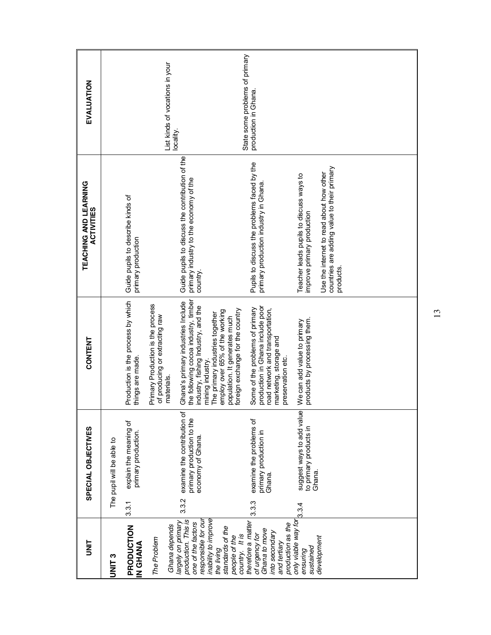| EVALUATION                                 |                           |                                                         | List kinds of vocations in your                                                   | locality.                                                                                                                                                                                                                                   | State some problems of primary<br>production in Ghana.                                                                                                                                     |                                                                        |                                                                                                     |  |
|--------------------------------------------|---------------------------|---------------------------------------------------------|-----------------------------------------------------------------------------------|---------------------------------------------------------------------------------------------------------------------------------------------------------------------------------------------------------------------------------------------|--------------------------------------------------------------------------------------------------------------------------------------------------------------------------------------------|------------------------------------------------------------------------|-----------------------------------------------------------------------------------------------------|--|
| TEACHING AND LEARNING<br><b>ACTIVITIES</b> |                           | Guide pupils to describe kinds of<br>primary production |                                                                                   | Guide pupils to discuss the contribution of the<br>primary industry to the economy of the<br>country.                                                                                                                                       | Pupils to discuss the problems faced by the<br>primary production industry in Ghana.                                                                                                       | Teacher leads pupils to discuss ways to<br>improve primary production  | countries are adding value to their primary<br>Use the internet to read about how other<br>products |  |
| CONTENT                                    |                           | Production is the process by which<br>things are made.  | Primary Production is the process<br>of producing or extracting raw<br>materials. | the following cocoa industry, timber<br>Ghana's primary industries Include<br>industry, fishing Industry, and the<br>employ over 65% of the working<br>The primary industries together<br>population. It generates much<br>mining industry. | production in Ghana include poor<br>Some of the problems of primary<br>road network and transportation,<br>foreign exchange for the country<br>marketing, storage and<br>preservation etc. | products by processing them.<br>We can add value to primary            |                                                                                                     |  |
| SPECIAL OBJECTIVES                         | The pupil will be able to | explain the meaning of<br>primary production<br>3.3.1   |                                                                                   | examine the contribution of<br>primary production to the<br>economy of Ghana<br>3.3.2                                                                                                                                                       | examine the problems of<br>primary production in<br>Ghana.<br>3.3.3                                                                                                                        | suggest ways to add value<br>to primary products in<br>Ghana.<br>3.3.4 |                                                                                                     |  |
| i<br>M                                     | <b>UNIT3</b>              | PRODUCTION<br><b>ANAHO Z</b>                            | Ghana depends<br>The Problem                                                      | inability to improve<br>production. This is<br>largely on primary<br>responsible for ou<br>one of the factors<br>standards of the<br>people of the<br>the living                                                                            | therefore a matter<br>production as the<br>Ghana to move<br>into secondary<br>of urgency for<br>country. It is<br>and tertiary                                                             | only viable way for<br>sustained<br>ensuring                           | development                                                                                         |  |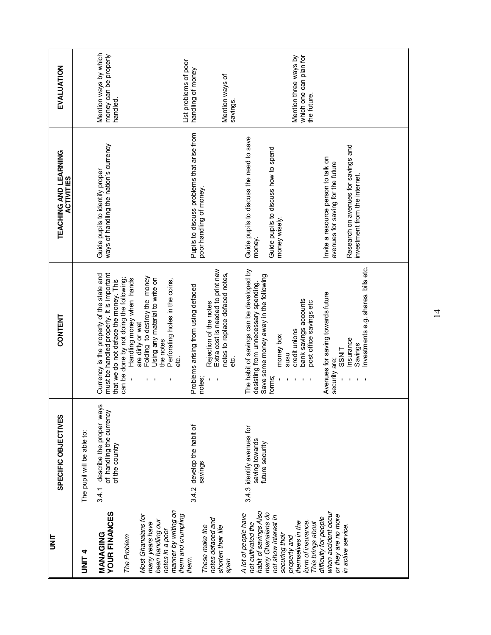| light                                                                                                                                                                                                              | SPECIFIC OBJECTIVES                                                                  | <b>CONTENT</b>                                                                                                                                                                                                                | TEACHING AND LEARNING<br><b>ACTIVITIES</b>                                                                                                      | EVALUATION                                                     |
|--------------------------------------------------------------------------------------------------------------------------------------------------------------------------------------------------------------------|--------------------------------------------------------------------------------------|-------------------------------------------------------------------------------------------------------------------------------------------------------------------------------------------------------------------------------|-------------------------------------------------------------------------------------------------------------------------------------------------|----------------------------------------------------------------|
| <b>ALINIL</b>                                                                                                                                                                                                      | The pupil will be able to:                                                           |                                                                                                                                                                                                                               |                                                                                                                                                 |                                                                |
| <b>YOUR FINANCES</b><br>MANAGING<br>The Problem                                                                                                                                                                    | 67<br>describe the proper way<br>of handling the currency<br>of the country<br>3.4.1 | must be handled properly. It is important<br>Currency is the property of the state and<br>can be done by not doing the following;<br>that we do not deface the money. This                                                    | ways of handling the nation's currency<br>Guide pupils to identify proper                                                                       | Mention ways by which<br>money can be properly<br>handled      |
| manner by writing on<br>Most Ghanaians for<br>been handling our<br>many years have<br>notes in a poor                                                                                                              |                                                                                      | Folding to destroy the money<br>Using any material to write on<br>Handling money when hands<br>Perforating holes in the coins,<br>are dirty or wet<br>the notes                                                               |                                                                                                                                                 |                                                                |
| them and crumpling<br>notes defaced and<br>These make the<br>them.                                                                                                                                                 | 3.4.2 develop the habit of<br>savings                                                | Extra cost is needed to print new<br>Problems arising from using defaced<br>Rejection of the notes<br>ن<br>م <del>ا</del><br>notes;<br>$\mathbf{L}$<br>$\overline{\phantom{a}}$                                               | Pupils to discuss problems that arise from<br>poor handling of money.                                                                           | List problems of poor<br>handling of money                     |
| shorten their life<br>span                                                                                                                                                                                         |                                                                                      | notes to replace defaced notes,<br>ci<br>To                                                                                                                                                                                   |                                                                                                                                                 | Mention ways of<br>savings.                                    |
| habit of savings Also<br>many Ghanaians do<br>A lot of people have<br>not show interest in<br>themselves in the<br>form of insurance.<br>not cultivated the<br>This brings about<br>securing their<br>property and | 3.4.3 identify avenues for<br>saving towards<br>future security                      | The habit of savings can be developed by<br>Save some money away in the following<br>forms;<br>desisting from unnecessary spending.<br>bank savings accounts<br>post office savings etc<br>credit unions<br>money box<br>nsns | Guide pupils to discuss the need to save<br>Guide pupils to discuss how to spend<br>money wisely.<br>money.                                     | which one can plan for<br>Mention three ways by<br>the future. |
| when accident occur<br>or they are no more<br>difficulty for people<br>in active service.                                                                                                                          |                                                                                      | Investments e.g. shares, bills etc.<br>Avenues for saving towards future<br>Insurance<br>Savings<br><b>SSNIT</b><br>security are;                                                                                             | Research on avenues for savings and<br>Invite a resource person to talk on<br>avenues for saving for the future<br>investment from the internet |                                                                |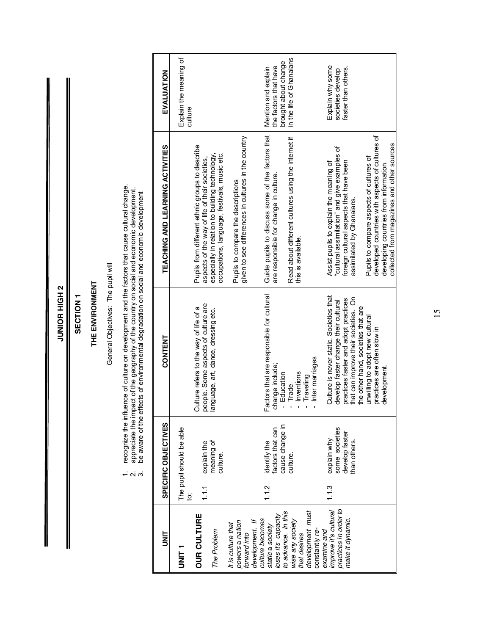|                                                               |                 | .<br>പ                                              | appreciate the impact of the geography of the country on social and economic development.<br>be aware of the effects of environmental degradation on social and economic development<br>effects of environmental degradation on social and economic development |                                                                                                   |                                                                      |
|---------------------------------------------------------------|-----------------|-----------------------------------------------------|-----------------------------------------------------------------------------------------------------------------------------------------------------------------------------------------------------------------------------------------------------------------|---------------------------------------------------------------------------------------------------|----------------------------------------------------------------------|
| JNT                                                           |                 | SPECIFIC OBJECTIVES                                 | CONTENT                                                                                                                                                                                                                                                         | TEACHING AND LEARNING ACTIVITIES                                                                  | EVALUATION                                                           |
| r<br>INI<br>S                                                 |                 | The pupil should be able                            |                                                                                                                                                                                                                                                                 |                                                                                                   | Explain the meaning of<br>culture                                    |
| <b>OUR CULTURE</b>                                            | 1.1.1<br>.<br>9 |                                                     | people. Some aspects of culture are<br>Culture refers to the way of life of a                                                                                                                                                                                   | Pupils from different ethnic groups to describe<br>aspects of the way of life of their societies, |                                                                      |
| The Problem                                                   |                 | explain the<br>meaning of<br>culture.               | language, art, dance, dressing etc.                                                                                                                                                                                                                             | especially in relation to building technology,<br>occupations, language, festivals, music etc.    |                                                                      |
| powers a nation<br>It is culture that<br>forward into         |                 |                                                     |                                                                                                                                                                                                                                                                 | given to see differences in cultures in the country<br>Pupils to compare the descriptions         |                                                                      |
| culture becomes<br>development. If                            |                 |                                                     |                                                                                                                                                                                                                                                                 |                                                                                                   |                                                                      |
| static a society<br>loses it's capacity                       | 1.1.2           | cause change in<br>identify the<br>factors that can | Factors that are responsible for cultural<br>change include;<br>- Education                                                                                                                                                                                     | Guide pupils to discuss some of the factors that<br>are responsible for change in culture.        | brought about change<br>the factors that have<br>Mention and explain |
| to advance. In this<br>wise any society<br>that desires       |                 | culture.                                            | Inventions<br>Trade                                                                                                                                                                                                                                             | Read about different cultures using the internet if<br>this is available.                         | in the life of Ghanaians                                             |
| development must<br>constantly re-                            |                 |                                                     | - Inter marriages<br>Traveling                                                                                                                                                                                                                                  |                                                                                                   |                                                                      |
| practices in order to<br>improve it's cultural<br>examine and | 1.1.3           | some societies<br>explain why                       | Culture is never static. Societies that<br>develop faster change their cultural                                                                                                                                                                                 | "cuttural assimilation" and give examples of<br>Assist pupils to explain the meaning of           | Explain why some<br>societies develop                                |
| make it dynamic.                                              |                 | develop faster<br>than others.                      | that can improve their societies. On<br>practices faster and adopt practices<br>the other hand, societies that are                                                                                                                                              | foreign cultural aspects that have been<br>assimilated by Ghanaians.                              | faster than others.                                                  |
|                                                               |                 |                                                     | unwilling to adopt new cultural<br>practices are often slow in                                                                                                                                                                                                  | developed countries with aspects of cultures of<br>Pupils to compare aspects of cultures of       |                                                                      |
|                                                               |                 |                                                     | development                                                                                                                                                                                                                                                     | collected from magazines and other sources<br>developing countries from information               |                                                                      |

JUNIOR HIGH 2 **JUNIOR HIGH 2**

#### SECTION 1 **SECTION 1**

#### THE ENVIRONMENT **THE ENVIRONMENT**

General Objectives: The pupil will General Objectives: The pupil will

1. recognize the influence of culture on development and the factors that cause cultural change. 1. recognize the influence of culture on development and the factors that cause cultural change.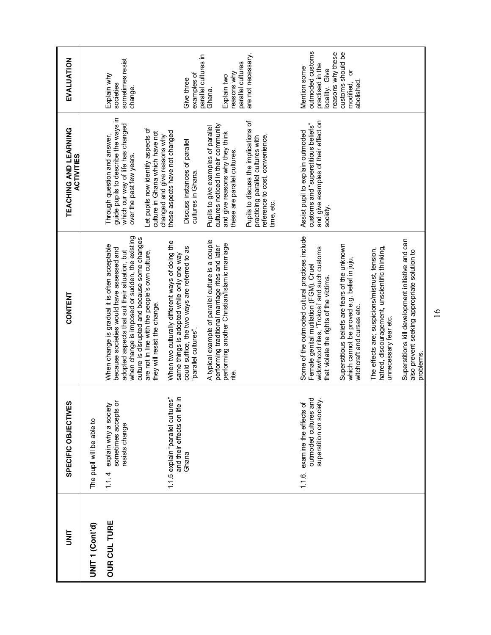| <b>UNIT</b>         | w<br>SPECIFIC OBJECTIVE                                                            | <b>CONTENT</b>                                                                                                                                                                                                                                                                                                                    | TEACHING AND LEARNING<br><b>ACTIVITIES</b>                                                                                                                                                                                                                                   | EVALUATION                                                                                                                                      |
|---------------------|------------------------------------------------------------------------------------|-----------------------------------------------------------------------------------------------------------------------------------------------------------------------------------------------------------------------------------------------------------------------------------------------------------------------------------|------------------------------------------------------------------------------------------------------------------------------------------------------------------------------------------------------------------------------------------------------------------------------|-------------------------------------------------------------------------------------------------------------------------------------------------|
| UNIT 1 (Cont'd)     | The pupil will be able to                                                          |                                                                                                                                                                                                                                                                                                                                   |                                                                                                                                                                                                                                                                              |                                                                                                                                                 |
| <b>OUR CUL TURE</b> | explain why a society<br>sometimes accepts or<br>resists change<br>1.1.4           | when change is imposed or sudden, the existing<br>culture is disrupted and because some changes<br>When change is gradual it is often acceptable<br>because societies would have assessed and<br>adopted aspects that suit their situation, but<br>are not in line with the people's own culture,<br>they will resist the change. | guide pupils to describe the ways in<br>which our way of life has changed<br>Let pupils now identify aspects of<br>culture in Ghana which have not<br>Through question and answer,<br>over the past few years.                                                               | sometimes resist<br>Explain why<br>societies<br>change.                                                                                         |
|                     | 1.1.5 explain "parallel cultures"<br>and their effects on life in<br>Ghana         | When two culturally different ways of doing the<br>could suffice, the two ways are referred to as<br>same things is adopted while only one way<br>"parallel cultures".                                                                                                                                                            | these aspects have not changed<br>changed and give reasons why<br>Discuss instances of parallel<br>cultures in Ghana.                                                                                                                                                        | parallel cultures in<br>examples of<br>Give three                                                                                               |
|                     |                                                                                    | A typical example of parallel culture is a couple<br>performing another Christian/Islamic marriage<br>performing traditional marriage rites and later                                                                                                                                                                             | Pupils to discuss the implications of<br>cultures noticed in their community<br>Pupils to give examples of parallel<br>and give reasons why they think<br>practicing parallel cultures with<br>reference to cost, convenience,<br>these are parallel cultures.<br>time, etc. | are not necessary.<br>parallel cultures<br>reasons why<br>Explain two<br>Ghana.                                                                 |
|                     | outmoded cultures and<br>superstition on society.<br>1.1.6. examine the effects of | Some of the outmoded cultural practices include<br>Superstitious beliefs are fears of the unknown<br>widowhood rites, 'Trokosi' and such customs<br>which cannot be proved e.g. belief in juju,<br>Female genital mutilation (FGM). Cruel<br>that violate the rights of the victims.<br>witchcraft and curses etc.                | and give examples of their effect on<br>customs and "superstitious beliefs"<br>Assist pupil to explain outmoded<br>society.                                                                                                                                                  | outmoded customs<br>reasons why these<br>customs should be<br>practised in the<br>Mention some<br>locality. Give<br>ð<br>abolished<br>modified, |
|                     |                                                                                    | Superstitions kill development initiative and can<br>hatred, discouragement, unscientific thinking,<br>The effects are; suspicions/mistrust, tension,<br>also prevent seeking appropriate solution to<br>unnecessary fear etc.<br>problems.                                                                                       |                                                                                                                                                                                                                                                                              |                                                                                                                                                 |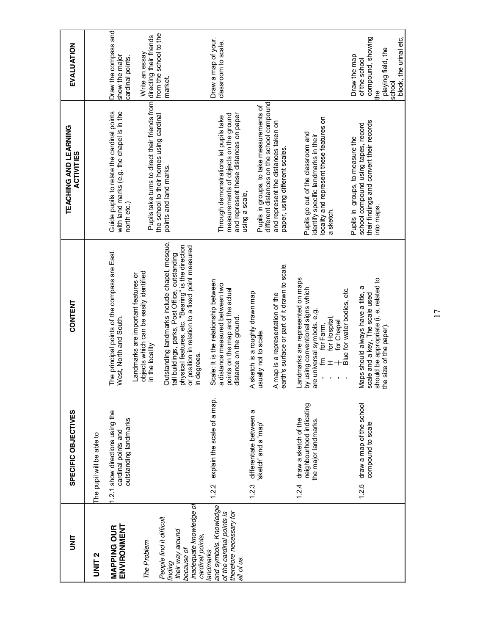| is<br>S                                                                                                  | SPECIFIC OBJECTIVES                                                              | <b>CONTENT</b>                                                                                                                                                                             | TEACHING AND LEARNING<br><b>ACTIVITIES</b>                                                                                                   | EVALUATION                                                                    |
|----------------------------------------------------------------------------------------------------------|----------------------------------------------------------------------------------|--------------------------------------------------------------------------------------------------------------------------------------------------------------------------------------------|----------------------------------------------------------------------------------------------------------------------------------------------|-------------------------------------------------------------------------------|
| UNIT <sub>2</sub>                                                                                        | The pupil will be able to                                                        |                                                                                                                                                                                            |                                                                                                                                              |                                                                               |
| ENVIRONMENT<br><b>MAPPING OUR</b><br>The Problem                                                         | 1.2.1 show directions using the<br>outstanding landmarks<br>cardinal points and  | The principal points of the compass are East.<br>objects which can be easily identified<br>Landmarks are important features or<br>West, North and South.                                   | Guide pupils to relate the cardinal points<br>with land marks (e.g. the chapel is in the<br>north etc.)                                      | Draw the compass and<br>Write an essay<br>show the major<br>cardinal points.  |
| People find it difficult<br>their way around<br>because of<br>finding                                    |                                                                                  | Outstanding landmarks include chapel, mosque,<br>physical features, etc. "Bearing" is the direction<br>tall buildings, parks, Post Office, outstanding<br>in the locality                  | Pupils take turns to direct their friends from directing their friends<br>the school to their homes using cardinal<br>points and land marks. | from the school to the<br>market.                                             |
| inadequate knowledge of<br>cardinal points,                                                              |                                                                                  | or position in relation to a fixed point measured<br>in degrees.                                                                                                                           |                                                                                                                                              |                                                                               |
| and symbols. Knowledge<br>of the cardinal points is<br>therefore necessary for<br>andmarks<br>all of us. | explain the scale of a map.<br>1.2.2                                             | Scale: It is the relationship between<br>a distance measured between two<br>points on the map and the actual<br>distance on the ground.                                                    | and represent these distances on paper<br>measurements of objects on the ground<br>Through demonstrations let pupils take<br>using a scale,  | Draw a map of your.<br>classroom to scale,                                    |
|                                                                                                          | 1.2.3 differentiate between a<br>sketch' and a 'map'                             | A sketch is a roughly drawn map<br>usually not to scale.                                                                                                                                   | Pupils in groups, to take measurements of                                                                                                    |                                                                               |
|                                                                                                          |                                                                                  | earth's surface or part of it drawn to scale.<br>A map is a representation of the                                                                                                          | different distances on the school compound<br>and represent the distances taken on<br>paper, using different scales.                         |                                                                               |
|                                                                                                          | neighbourhood indicating<br>draw a sketch of the<br>the major landmarks<br>1.2.4 | Landmarks are represented on maps<br>by using conventional signs which<br>Blue for water bodies, etc.<br>are universal symbols. e, g,<br>for Hospital<br>for Chapel<br>for Farm,<br>Έ<br>工 | locality and represent these features on<br>Pupils go out of the classroom and<br>identify specific landmarks in their<br>a sketch.          |                                                                               |
|                                                                                                          | draw a map of the school<br>compound to scale<br>1.2.5                           | should be appropriate (i. e, related to<br>Ø<br>Maps should always have a title,<br>scale and a key, The scale used<br>the size of the paper).                                             | their findings and convert their records<br>school compound using tapes, record<br>Pupils in groups, to measure the<br>into maps.            | compound, showing<br>playing field, the<br>Draw the map<br>of the school<br>؋ |
|                                                                                                          |                                                                                  |                                                                                                                                                                                            |                                                                                                                                              | block, the urinal etc,<br>school                                              |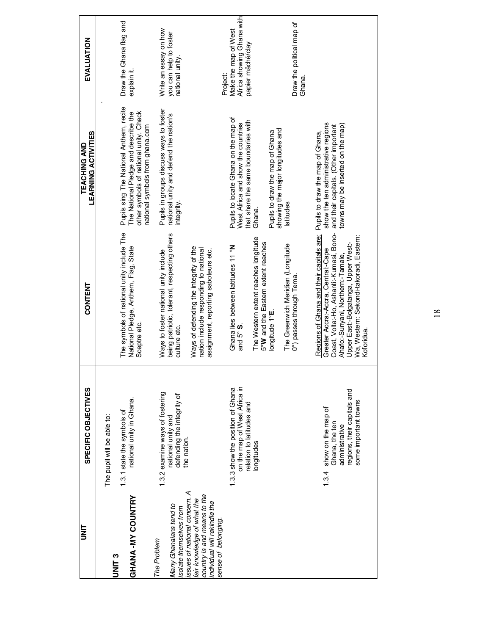| i<br>M                                                                                                                                          | SPECIFIC OBJECTIVES                                                                                                    | <b>CONTENT</b>                                                                                                                                                                                                                                                   | <b>LEARNING ACTIVITIES</b><br><b>TEACHING AND</b>                                                                                                            | EVALUATION                                                             |
|-------------------------------------------------------------------------------------------------------------------------------------------------|------------------------------------------------------------------------------------------------------------------------|------------------------------------------------------------------------------------------------------------------------------------------------------------------------------------------------------------------------------------------------------------------|--------------------------------------------------------------------------------------------------------------------------------------------------------------|------------------------------------------------------------------------|
| UNIT <sub>3</sub>                                                                                                                               | The pupil will be able to:                                                                                             |                                                                                                                                                                                                                                                                  |                                                                                                                                                              |                                                                        |
| <b>GHANA-MY COUNTRY</b>                                                                                                                         | national unity in Ghana.<br>.3.1 state the symbols of                                                                  | The symbols of national unity include The<br>National Pledge, Anthem, Flag, State<br>Sceptre etc.                                                                                                                                                                | Pupils sing The National Anthem, recite<br>The National Pledge and describe the<br>other symbols of national unity. Check<br>national symbols from ghana.com | Draw the Ghana flag and<br>explain it.                                 |
| Many Ghanaians tend to<br>solate themselves from<br>The Problem                                                                                 | .3.2 examine ways of fostering<br>defending the integrity of<br>national unity and<br>the nation.                      | being patriotic, tolerant, respecting others<br>Ways to foster national unity include<br>culture etc.                                                                                                                                                            | Pupils in groups discuss ways to foster<br>national unity and defend the nation's<br>integrity.                                                              | Write an essay on how<br>you can help to foster<br>national unity.     |
| ssues of national concern. A<br>country is and means to the<br>air knowledge of what the<br>individual will rekindle the<br>sense of belonging. |                                                                                                                        | Ways of defending the integrity of the<br>nation include responding to national<br>assignment, reporting saboteurs etc.                                                                                                                                          |                                                                                                                                                              | <b>Project:</b>                                                        |
|                                                                                                                                                 | on the map of West Africa in<br>.3.3 show the position of Ghana<br>relation to latitudes and                           | Ghana lies between latitudes 11 °N<br>and $5^\circ$ S.                                                                                                                                                                                                           | Pupils to locate Ghana on the map of<br>that share the same boundaries with<br>West Africa and show the countries                                            | Africa showing Ghana with<br>Make the map of West<br>papier mâché/clay |
|                                                                                                                                                 | longitudes                                                                                                             | The Western extent reaches longitude<br>5°W and the Eastern extent reaches<br>longitude 1°E.                                                                                                                                                                     | showing the major longitudes and<br>Pupils to draw the map of Ghana<br>Ghana.                                                                                |                                                                        |
|                                                                                                                                                 |                                                                                                                        | The Greenwich Meridian (Longitude<br>0°) passes through Tema                                                                                                                                                                                                     | latitudes                                                                                                                                                    | Draw the political map of<br>Ghana.                                    |
|                                                                                                                                                 | regions, their capitals and<br>some important towns<br>show on the map of<br>Ghana, the ten<br>administrative<br>1.3.4 | Coast, Volta:-Ho, Ashanti:-Kumasi, Bono-<br>Regions of Ghana and their capitals are;<br>Wa, Western: Sekondi-takoradi, Eastern:<br>Upper East:-Bolgatanga, Upper West:-<br>Greater Accra:-Accra, Central:-Cape<br>Ahafo:-Sunyani, Northern:-Tamale,<br>Koforidua | show the ten administrative regions<br>towns may be inserted on the map)<br>and their capitals. (Other important<br>Pupils to draw the map of Ghana,         |                                                                        |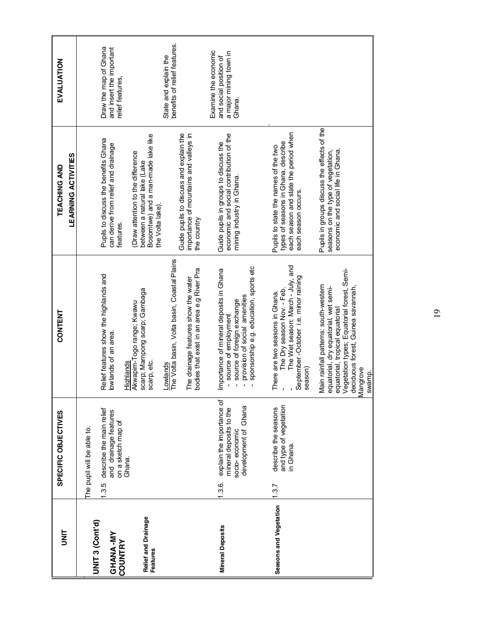| t<br>M                                            | SPECIFIC OBJECTIVES                                                                                            | CONTENT                                                                                                                                                                                                                     | <b>LEARNING ACTIVITIES</b><br><b>TEACHING AND</b>                                                                                           | EVALUATION                                                                         |
|---------------------------------------------------|----------------------------------------------------------------------------------------------------------------|-----------------------------------------------------------------------------------------------------------------------------------------------------------------------------------------------------------------------------|---------------------------------------------------------------------------------------------------------------------------------------------|------------------------------------------------------------------------------------|
| UNIT 3 (Cont'd)<br>GHANA-MY                       | describe the main relief<br>and drainage features<br>on a sketch map of<br>The pupil will be able to.<br>1.3.5 | Relief features show the highlands and<br>lowlands of an area                                                                                                                                                               | Pupils to discuss the benefits Ghana<br>can derive from relief and drainage<br>features.                                                    | Draw the map of Ghana<br>and insert the important<br>relief features,              |
| Relief and Drainage<br><b>COUNTRY</b><br>Features | Ghana.                                                                                                         | scarp; Mampong scarp; Gambaga<br>Akwapim-Togo range; Kwawu<br>scarp, etc.<br>Highlands                                                                                                                                      | Bosomtwe) and a man-made lake like<br>(Draw attention to the difference<br>between a natural lake (Lake<br>the Volta lake).                 |                                                                                    |
|                                                   |                                                                                                                | Lowlands<br>The Volta basin, Volta basin, Coastal Plains<br>bodies that exist in an area e.g River Pra<br>The drainage features show the water                                                                              | Guide pupils to discuss and explain the<br>importance of mountains and valleys in<br>the country                                            | benefits of relief features.<br>State and explain the                              |
| <b>Mineral Deposits</b>                           | explain the importance of<br>development of Ghana<br>mineral deposits to the<br>socio-economic<br>$1.3.6$ .    | sponsorship e.g. education, sports etc<br>Importance of mineral deposits in Ghana<br>provision of social amenities<br>source of foreign exchange<br>source of employment                                                    | economic and social contribution of the<br>Guide pupils in groups to discuss the<br>mining industry in Ghana.                               | Examine the economic<br>a major mining town in<br>and social position of<br>Ghana. |
| Seasons and Vegetation                            | and type of vegetation<br>describe the seasons<br>in Ghana<br>1.3.7                                            | The Wet season: March - July, and<br>September-October i.e. minor raining<br>The Dry season Nov. - Feb.<br>There are two seasons in Ghana.<br>season)                                                                       | each season and state the period when<br>types of seasons in Ghana, describe<br>Pupils to state the names of the two<br>each season occurs. |                                                                                    |
|                                                   |                                                                                                                | Vegetation types; Equatorial forest, Semi-<br>Main rainfall patterns: south-western<br>equatorial, dry equatorial, wet semi-<br>deciduous forest, Guinea savannah,<br>equatorial, tropical equatorial<br>Mangrove<br>swamp. | Pupils in groups discuss the effects of the<br>economic and social life in Ghana.<br>seasons on the type of vegetation,                     |                                                                                    |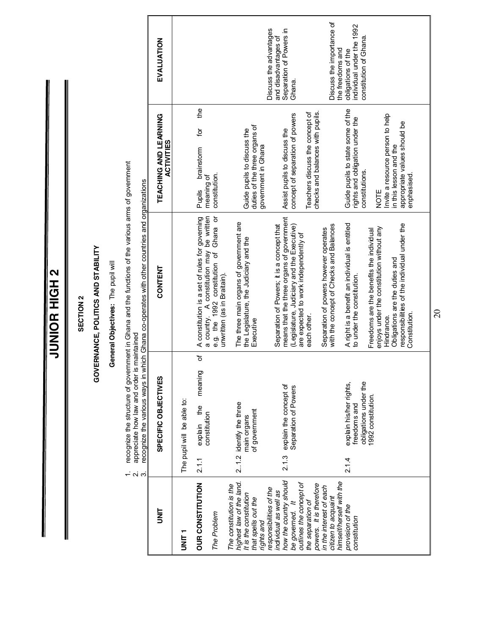JUNIOR HIGH 2 **JUNIOR HIGH 2**

#### SECTION 2 **SECTION 2**

### GOVERNANCE, POLITICS AND STABILITY **GOVERNANCE, POLITICS AND STABILITY**

### General Objectives: The pupil will **General Objectives:** The pupil will

recognize the structure of government in Ghana and the functions of the various arms of government<br>appreciate how law and order is maintained<br>recording and order is maintained and concerted with other countries and organiz 1. recognize the structure of government in Ghana and the functions of the various arms of government

2. appreciate how law and order is maintained  $\vec{r}$  of  $\vec{r}$ 

|                                                                                                                                                                          | recognize the various ways in<br>ო.<br>ო                                                       | which Ghana co-operates with other countries and organizations                                                                                                                                                                                                                         |                                                                                                                                                                                                            |                                                                                    |
|--------------------------------------------------------------------------------------------------------------------------------------------------------------------------|------------------------------------------------------------------------------------------------|----------------------------------------------------------------------------------------------------------------------------------------------------------------------------------------------------------------------------------------------------------------------------------------|------------------------------------------------------------------------------------------------------------------------------------------------------------------------------------------------------------|------------------------------------------------------------------------------------|
| mm<br>S                                                                                                                                                                  | SPECIFIC OBJECTIVES                                                                            | CONTENT                                                                                                                                                                                                                                                                                | TEACHING AND LEARNING<br><b>ACTIVITIES</b>                                                                                                                                                                 | EVALUATION                                                                         |
| i<br>M                                                                                                                                                                   | The pupil will be able to:                                                                     |                                                                                                                                                                                                                                                                                        |                                                                                                                                                                                                            |                                                                                    |
| OUR CONSTITUTION<br>The Problem                                                                                                                                          | ৳<br>meaning<br>explain the<br>constitution<br>2.1.1                                           | a country. A constitution may be written<br>Ghana or<br>A constitution is a set of rules for governing<br>e.g. the 1992 constitution of<br>unwritten (as in Braitain).                                                                                                                 | the<br>ğ<br>brainstom<br>constitution.<br>meaning of<br><b>Pupils</b>                                                                                                                                      |                                                                                    |
| highest law of the land.<br>The constitution is the<br>It is the constitution<br>that spells out the<br>rights and                                                       | 2.1.2 identify the three<br>of government<br>main organs                                       | The three main organs of government are<br>the Legislature, the Judiciary and the<br>Executive                                                                                                                                                                                         | duties of the three organs of<br>Guide pupils to discuss the<br>government in Ghana                                                                                                                        |                                                                                    |
| how the country should<br>outlines the concept of<br>powers. It is therefore<br>responsibilities of the<br>individual as well as<br>the separation of<br>be governed. It | explain the concept of<br>Separation of Powers<br>2.1.3                                        | means that the three organs of government<br>(Legislature, Judiciary and the Executive)<br>Separation of Powers; it is a concept that<br>are expected to work independently of<br>each other.                                                                                          | Teachers discuss the concept of<br>concept of separation of powers<br>Assist pupils to discuss the                                                                                                         | Discuss the advantages<br>Separation of Powers in<br>and disadvantages of<br>Ghana |
| himself/herself with the<br>in the interest of each<br>citizen to acquaint                                                                                               |                                                                                                | with the concept of Checks and Balances<br>Separation of powers however operates                                                                                                                                                                                                       | checks and balances with pupils.                                                                                                                                                                           | Discuss the importance of<br>the freedoms and                                      |
| provision of the<br>constitution                                                                                                                                         | obligations under the<br>explain his/her rights,<br>1992 constitution<br>freedoms and<br>2.1.4 | responsibilities of the individual under the<br>A right is a benefit an individual is entitled<br>enjoys under the constitution without any<br>Freedoms are the benefits the individual<br>Obligations are the duties and<br>to under the constitution.<br>Constitution.<br>Hindrance. | Guide pupils to state some of the<br>Invite a resource person to help<br>rights and obligation under the<br>appropriate values should be<br>in this lesson and the<br>constitutions.<br>enphasised<br>NOTE | individual under the 1992<br>constitution of Ghana<br>obligations of the           |
|                                                                                                                                                                          |                                                                                                |                                                                                                                                                                                                                                                                                        |                                                                                                                                                                                                            |                                                                                    |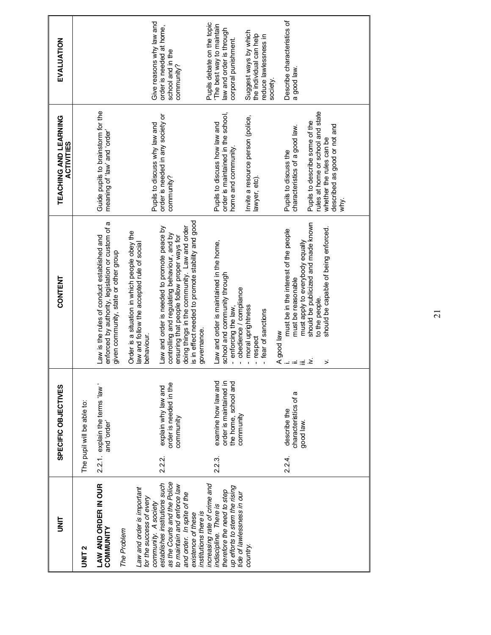| 들<br>3                                                                                                                                                                                                                                                      |          | SPECIFIC OBJECTIVES                                                                | <b>CONTENT</b>                                                                                                                                                                                                                                                                                                                                                              | TEACHING AND LEARNING<br><b>ACTIVITIES</b>                                                                                                                                | EVALUATION                                                                                                                          |
|-------------------------------------------------------------------------------------------------------------------------------------------------------------------------------------------------------------------------------------------------------------|----------|------------------------------------------------------------------------------------|-----------------------------------------------------------------------------------------------------------------------------------------------------------------------------------------------------------------------------------------------------------------------------------------------------------------------------------------------------------------------------|---------------------------------------------------------------------------------------------------------------------------------------------------------------------------|-------------------------------------------------------------------------------------------------------------------------------------|
| UNIT <sub>2</sub>                                                                                                                                                                                                                                           |          | The pupil will be able to:                                                         |                                                                                                                                                                                                                                                                                                                                                                             |                                                                                                                                                                           |                                                                                                                                     |
| LAW AND ORDER IN OUR<br>COMMUNITY<br>The Problem                                                                                                                                                                                                            |          | 2.2.1. explain the terms 'law'<br>and order                                        | enforced by authority, legislation or custom of a<br>Law is the rules of conduct established and<br>given community, state or other group                                                                                                                                                                                                                                   | Guide pupils to brainstorm for the<br>"abuo, pue 'wel, jo buiueau                                                                                                         |                                                                                                                                     |
| as the Courts and the Police<br>establishes institutions such<br>to maintain and enforce law<br>Law and order is important<br>and order. In spite of the<br>for the success of every<br>community. A society<br>institutions there is<br>existence of these | 2.2.2.   | order is needed in the<br>explain why law and<br>community                         | is in effect needed to promote stability and good<br>doing things in the community. Law and order<br>Law and order is needed to promote peace by<br>Order is a situation in which people obey the<br>controlling and regulating behaviour, and by<br>ensuring that people follow proper ways for<br>law and follow the accepted rule of social<br>governance.<br>behaviour. | order is needed in any society or<br>Pupils to discuss why law and<br>community?                                                                                          | Give reasons why law and<br>order is needed at home,<br>school and in the<br>community?                                             |
| increasing rate of crime and<br>up efforts to stem the rising<br>therefore the need to step<br>tide of lawlessness in our<br>indiscipline. There is<br>country.                                                                                             | 2.2.3    | examine how law and<br>order is maintained in<br>the home, school and<br>community | Law and order is maintained in the home,<br>school and community through<br>obedience / compliance<br>- moral uprightness<br>- enforcing the law,                                                                                                                                                                                                                           | order is maintained in the school,<br>Invite a resource person (police,<br>Pupils to discuss how law and<br>home and community.                                           | Pupils debate on the topic<br>The best way to maintain<br>law and order is through<br>Suggest ways by which<br>corporal punishment. |
|                                                                                                                                                                                                                                                             | $2.24$ . | describe the                                                                       | must be in the interest of the people<br>fear of sanctions<br>respect                                                                                                                                                                                                                                                                                                       | Pupils to discuss the<br>lawyer, etc)                                                                                                                                     | Describe characteristics of<br>the individual can help<br>reduce lawlessness in<br>society                                          |
|                                                                                                                                                                                                                                                             |          | characteristics of a<br>good law.                                                  | should be publicized and made known<br>should be capable of being enforced.<br>must apply to everybody equally<br>must be reasonable<br>to the people.<br>$\begin{array}{ll}\n\text{A good law} \\ \vdots \\ \text{in.} \\ \text{in.} \\ \text{in.} \\ \text{in.} \\ \text{in.} \\ \text{in.} \\ \text{in.} \\ \text{in.} \\ \end{array}$<br>$\mathbf{r}$                   | rules at home or school and state<br>Pupils to describe some of the<br>described as good or not and<br>characteristics of a good law.<br>whether the rules can be<br>why. | a good law                                                                                                                          |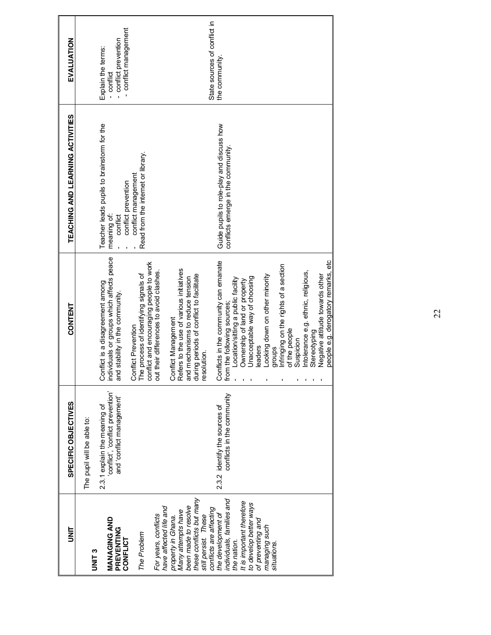| i<br>N                                                                                                                                                                | SPECIFIC OBJECTIVES                                                                           | <b>CONTENT</b>                                                                                                                                                                                           | TEACHING AND LEARNING ACTIVITIES                                                 | EVALUATION                                                |
|-----------------------------------------------------------------------------------------------------------------------------------------------------------------------|-----------------------------------------------------------------------------------------------|----------------------------------------------------------------------------------------------------------------------------------------------------------------------------------------------------------|----------------------------------------------------------------------------------|-----------------------------------------------------------|
| UNIT <sub>3</sub>                                                                                                                                                     | The pupil will be able to:                                                                    |                                                                                                                                                                                                          |                                                                                  |                                                           |
| MANAGING AND<br>PREVENTING                                                                                                                                            | conflict', 'conflict prevention'<br>and 'conflict management'<br>2.3.1 explain the meaning of | individuals or groups which affects peace<br>Conflict is a disagreement among<br>and stability in the community.                                                                                         | Teacher leads pupils to brainstorm for the<br>meaning of:<br>conflict            | - conflict prevention<br>Explain the terms:<br>- conflict |
| For years, conflicts<br>The Problem<br>CONFLICT                                                                                                                       |                                                                                               | conflict and encouraging people to work<br>out their differences to avoid clashes.<br>Conflict Prevention<br>The process of identifying signals of                                                       | Read from the internet or library.<br>conflict management<br>conflict prevention | - conflict management                                     |
| these conflicts but many<br>been made to resolve<br>have affected life and<br>Many attempts have<br>still persist. These<br>property in Ghana.                        |                                                                                               | Refers to the use of various initiatives<br>during periods of conflict to facilitate<br>and mechanisms to reduce tension<br>Conflict Management<br>resolution.                                           |                                                                                  |                                                           |
| individuals, families and<br>It is important therefore<br>to develop better ways<br>conflicts are affecting<br>the development of<br>of preventing and<br>the nation. | conflicts in the community<br>2.3.2 identify the sources of                                   | Conflicts in the community can emanate<br>Unacceptable way of choosing<br>Location/sitting a public facility<br>Ownership of land or property<br>from the following sources;<br>eaders                   | Guide pupils to role-play and discuss how<br>conflicts emerge in the community   | State sources of conflict in<br>the community.            |
| managing such<br>situations.                                                                                                                                          |                                                                                               | Infringing on the rights of a section<br>ntolerance e.g. ethnic, religious,<br>Looking down on other minority<br>Negative attitude towards other<br>of the people<br>Stereotyping<br>Suspicion<br>groups |                                                                                  |                                                           |
|                                                                                                                                                                       |                                                                                               | people e.g. derogatory remarks, etc                                                                                                                                                                      |                                                                                  |                                                           |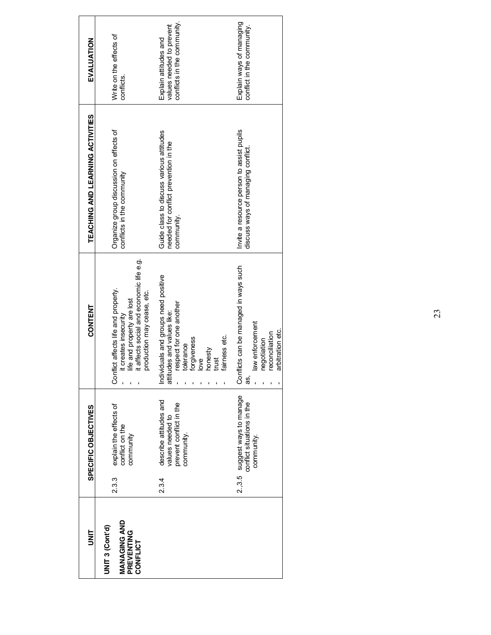| i<br>N                                                           |       | SPECIFIC OBJECTIVES                                                                 | CONTENT                                                                                                                                                               | TEACHING AND LEARNING ACTIVITIES                                                                | EVALUATION                                                                       |
|------------------------------------------------------------------|-------|-------------------------------------------------------------------------------------|-----------------------------------------------------------------------------------------------------------------------------------------------------------------------|-------------------------------------------------------------------------------------------------|----------------------------------------------------------------------------------|
| <b>MANAGING AND</b><br>UNIT 3 (Cont'd)<br>PREVENTING<br>CONFLICT | 23.3  | explain the effects of<br>conflict on the<br>community                              | it affects social and economic life e.g.<br>Conflict affects life and property.<br>production may cease, etc.<br>life and property are lost<br>it creates insecurity  | Organize group discussion on effects of<br>conflicts in the community                           | Write on the effects of<br>conflicts.                                            |
|                                                                  | 2.3.4 | describe attitudes and<br>prevent conflict in the<br>values needed to<br>community. | Individuals and groups need positive<br>respect for one another<br>attitudes and values like:<br>faimess etc.<br>forgiveness<br>tolerance<br>honesty<br>trust<br>love | Guide class to discuss various attitudes<br>needed for conflict prevention in the<br>community. | conflicts in the community.<br>values needed to prevent<br>Explain attitudes and |
|                                                                  |       | 2.3.5 suggest ways to manage<br>conflict situations in the<br>community.            | Conflicts can be managed in ways such<br>law enforcement<br>arbitration etc.<br>reconciliation<br>negotiation<br>æ,                                                   | Invite a resource person to assist pupils<br>discuss ways of managing conflict                  | Explain ways of managing<br>conflict in the community.                           |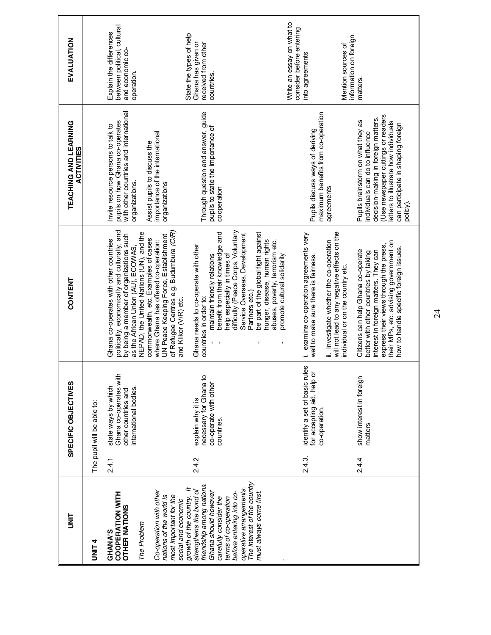| is<br>S                                                                                                                                                                                                                                                                                                                                                                                         |        | SPECIFIC OBJECTIVES                                                                           | CONTENT                                                                                                                                                                                                                                                                                                                                                                                                                                                                                        | TEACHING AND LEARNING<br><b>ACTIVITIES</b>                                                                                                                                                                                                  | EVALUATION                                                                                     |
|-------------------------------------------------------------------------------------------------------------------------------------------------------------------------------------------------------------------------------------------------------------------------------------------------------------------------------------------------------------------------------------------------|--------|-----------------------------------------------------------------------------------------------|------------------------------------------------------------------------------------------------------------------------------------------------------------------------------------------------------------------------------------------------------------------------------------------------------------------------------------------------------------------------------------------------------------------------------------------------------------------------------------------------|---------------------------------------------------------------------------------------------------------------------------------------------------------------------------------------------------------------------------------------------|------------------------------------------------------------------------------------------------|
| UNIT <sub>4</sub>                                                                                                                                                                                                                                                                                                                                                                               |        | The pupil will be able to:                                                                    |                                                                                                                                                                                                                                                                                                                                                                                                                                                                                                |                                                                                                                                                                                                                                             |                                                                                                |
| <b>COOPERATION WITH</b><br><b>OTHER NATIONS</b><br>The Problem<br>GHANA'S                                                                                                                                                                                                                                                                                                                       | 2.4.1  | Ghana co-operates with<br>state ways by which<br>international bodies.<br>other countries and | politically, economically and culturally, and<br>NEPAD, the United Nations (UN), and the<br>by being a member of organizations such<br>Ghana co-operates with other countries<br>as the African Union (AU), ECOWAS,                                                                                                                                                                                                                                                                            | with other countries and international<br>pupils on how Ghana co-operates<br>Invite resource persons to talk to<br>organizations.                                                                                                           | between political, cultural<br>Explain the differences<br>and economic co-<br>operation.       |
| The interest of the country<br>friendship among nations.<br>$\ddot{ }$<br>operative arrangements.<br>strengthens the bond of<br>Co-operation with other<br>must always come first.<br>Ghana should however<br>before entering into co-<br>nations of the world is<br>growth of the country.<br>most important for the<br>carefully consider the<br>terms of co-operation<br>social and economic | 2.4.2  | necessary for Ghana to<br>co-operate with other<br>explain why it is<br>countries.            | difficulty (Peace Corps, Voluntary<br>of Refugee Centres e.g. Budumbura (C/R)<br>benefit from their knowledge and<br>be part of the global fight against<br>Service Overseas, Development<br>UN Peace Keeping Force, Establishment<br>commonwealth, etc. Examples of cases<br>where Ghana has offered co-operation:<br>Ghana needs to co-operate with other<br>help especially in times of<br>maintain friendly relations<br>Partners etc.)<br>countries in order to:<br>and Klikor (V/R) etc. | Through question and answer, guide<br>pupils to state the importance of<br>cooperation<br>importance of the international<br>Assist pupils to discuss the<br>organizations                                                                  | State the types of help<br>Ghana has given or<br>received from other<br>countries.             |
|                                                                                                                                                                                                                                                                                                                                                                                                 | 2.4.3. | δĝ<br>for accepting aid, help or<br>identify a set of basic ru<br>co-operation.               | will not lead to any negative effects on the<br>i. examine co-operation agreements very<br>hunger, disease, human rights<br>ii. investigate whether the co-operation<br>abuses, poverty, terrorism etc.<br>promote cultural solidarity<br>well to make sure there is fairness.<br>individual or on the country etc.                                                                                                                                                                            | maximum benefits from co-operation<br>Pupils discuss ways of deriving<br>agreements                                                                                                                                                         | Write an essay on what to<br>consider before entering<br>Mention sources of<br>into agreements |
|                                                                                                                                                                                                                                                                                                                                                                                                 | 2.4.4  | show interest in foreign<br>matters                                                           | their MPs, etc. advising government on<br>express their views through the press,<br>how to handle specific foreign issues.<br>Citizens can help Ghana co-operate<br>interest in foreign matters. They can<br>better with other countries by taking                                                                                                                                                                                                                                             | Use newspaper cuttings or readers<br>decision-making in foreign matters.<br>Pupils brainstorm on what they as<br>letters to illustrate how individuals<br>can participate in shaping foreign<br>individuals can do to influence<br>policy). | information on foreign<br>matters.                                                             |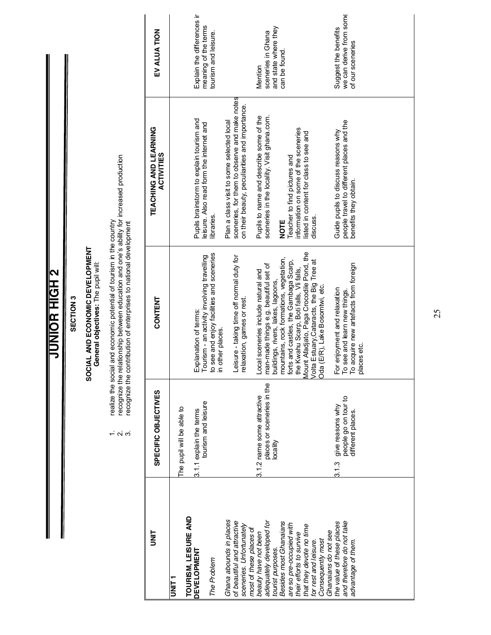**JUNIOR HIGH 2 JUNIOR HIGH 2**

#### SECTION 3 **SECTION 3**

# **SOCIAL AND ECONOMIC DEVELOPMENT**

SOCIAL AND ECONOMIC DEVELOPMENT<br>General objectives: The pupil will: **General objectives:** The pupil will:

- 1. realize the social and economic potential of tourism in the country
- realize the social and economic potential of tourism in the country<br>recognize the relationship between education and one's ability for increased production<br>recognize the contribution of enterprises to national development 2. recognize the relationship between education and one's ability for increased production  $\vec{r}$   $\vec{\alpha}$   $\vec{\alpha}$ 
	- 3. recognize the contribution of enterprises to national development

| The pupil will be able to<br>TOURISM, LEISURE AND<br>T<br>NHT<br>D                                                                                                                                                                                                                    | SPECIFIC OBJECTIVES                                           | CONTENT                                                                                                                                                                                                                                                                                                                  | TEACHING AND LEARNING<br><b>ACTIVITIES</b>                                                                                                                                                                                                                                | EV ALUA TION                                                               |
|---------------------------------------------------------------------------------------------------------------------------------------------------------------------------------------------------------------------------------------------------------------------------------------|---------------------------------------------------------------|--------------------------------------------------------------------------------------------------------------------------------------------------------------------------------------------------------------------------------------------------------------------------------------------------------------------------|---------------------------------------------------------------------------------------------------------------------------------------------------------------------------------------------------------------------------------------------------------------------------|----------------------------------------------------------------------------|
| 3.1.1 explain the terms<br>Ghana abounds in places<br><b>DEVELOPMENT</b><br>The Problem                                                                                                                                                                                               | tourism and leisure                                           | to see and enjoy facilities and sceneries<br>Tourism - an activity involving travelling<br>Explanation of terms:<br>in other places.                                                                                                                                                                                     | Pupils brainstorm to explain tourism and<br>Plan a class visit to some selected local<br>leisure. Also read form the internet and<br>libraries.                                                                                                                           | Explain the differences ir<br>meaning of the terms<br>tourism and leisure. |
| 3.1.2 name some attractive<br>vality<br>of beautiful and attractive<br>adequately developed for<br>Besides most Ghanaians<br>are so pre-occupied with<br>sceneries. Unfortunately<br>most of these places of<br>their efforts to survive<br>beauty have not been<br>tourist purposes. | places or sceneries in the                                    | Leisure - taking time off normal duty for<br>nountains, rock formations, vegetation,<br>orts and castles, the Gambaga Scarp,<br>man-made things e.g. beautiful set of<br>he Kwahu Scarp, Boti falls, Vii falls,<br>ocal sceneries include natural and<br>ouildings, rivers, lakes, lagoons,<br>relaxation, games or rest | sceneries, for them to observe and make notes<br>on their beauty, peculiarities and importance.<br>sceneries in the locality. Visit ghana.com.<br>Pupils to name and describe some of the<br>information on some of the sceneries<br>Teacher to find pictures and<br>NOTE | and state where they<br>sceneries in Ghana<br>can be found.<br>Mention     |
| 3.13<br>and therefore do not take<br>the value of these places<br>that they devote no time<br>Ghanaians do not see<br>Consequently most<br>for rest and leisure.<br>advantage of them.                                                                                                | people go on tour to<br>give reasons why<br>different places. | Mount Afadjato, Paga Crocodile Pond, the<br>Volta Estuary, Cataracts, the Big Tree at<br>To acquire new artefacts from foreign<br>Oda (E/R), Lake Bosomtwi, etc.<br>or enjoyment and relaxation<br>To see and learn new things.<br>places etc.                                                                           | people travel to different places and the<br>Guide pupils to discuss reasons why<br>listed in content for class to see and<br>benefits they obtain.<br>discuss.                                                                                                           | we can derive from some<br>Suggest the benefits<br>of our sceneries        |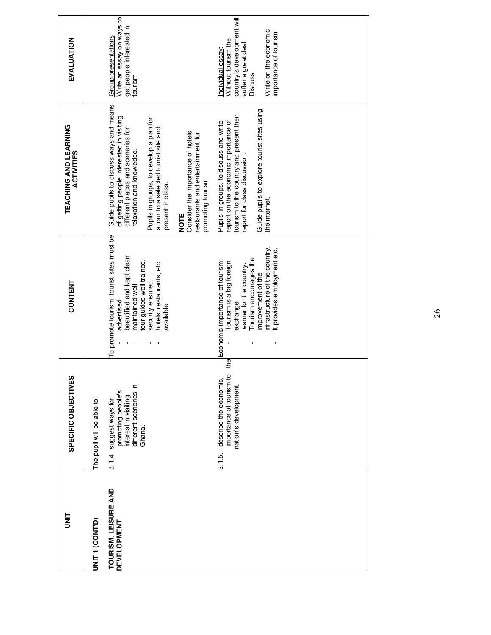|                      | SPECIFIC OBJECTIVES                                                                                        | CONTENT                                                                                                                              | TEACHING AND LEARNING<br><b>ACTIVITIES</b>                                                                                                                 | EVALUATION                                                                                                      |
|----------------------|------------------------------------------------------------------------------------------------------------|--------------------------------------------------------------------------------------------------------------------------------------|------------------------------------------------------------------------------------------------------------------------------------------------------------|-----------------------------------------------------------------------------------------------------------------|
|                      | The pupil will be able to:                                                                                 |                                                                                                                                      |                                                                                                                                                            |                                                                                                                 |
| TOURISM. LEISURE AND | different sceneries in<br>promoting people's<br>interest in visiting<br>suggest ways for<br>Ghana.<br>3.14 | To promote tourism, tourist sites must be<br>beautified and kept clean<br>tour guides well trained.<br>maintained well<br>advertised | Guide pupils to discuss ways and means<br>of getting people interested in visiting<br>different places and sceneries for<br>relaxation and knowledge.      | Write an essay on ways to<br>get people interested in<br>Group presentations<br>tourism                         |
|                      |                                                                                                            | hotels, restaurants, etc<br>security ensured,<br>available                                                                           | Pupils in groups, to develop a plan for<br>a tour to a selected tourist site and<br>present in class.                                                      |                                                                                                                 |
|                      |                                                                                                            |                                                                                                                                      | Consider the importance of hotels,<br>restaurants and entertainment for<br>promoting tourism<br>NOTE                                                       |                                                                                                                 |
|                      | the<br>importance of tourism to<br>describe the economic,<br>nation's development.<br>3.1.5                | Tourism encourages the<br>Economic importance of tourism:<br>Tourism is a big foreign<br>earner for the country.<br>exchange         | tourism to the country and present their<br>report on the economic importance of<br>Pupils in groups, to discuss and write<br>report for class discussion. | country's development will<br>Without tourism the<br>suffer a great deal.<br>ndividual essay:<br><b>Discuss</b> |
|                      |                                                                                                            | infrastructure of the country.<br>It provides employment etc.<br>improvement of the                                                  | Guide pupils to explore tourist sites using<br>the internet                                                                                                | Write on the economic<br>importance of tourism                                                                  |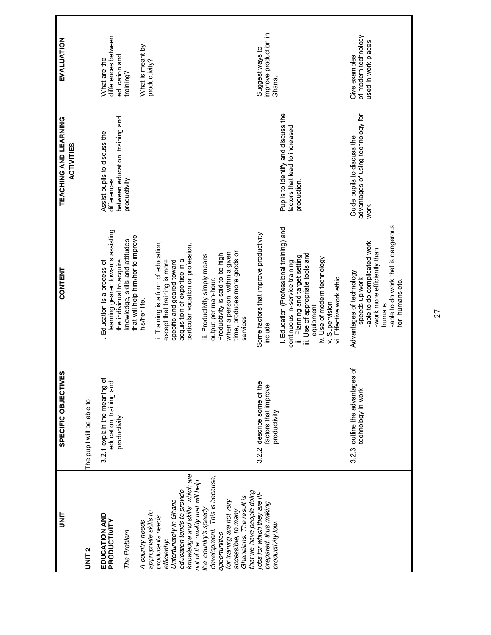| EVALUATION                                 |                            | differences between<br>What is meant by<br>education and<br>What are the<br>productivity?<br>training?                                                                                                                                                                                                                                                                                                                                                                                                                                         | improve production in<br>Suggest ways to<br>Ghana.                                                                                                                                                                                                                                                  | of modern technology<br>used in work places<br>Give examples                                                                                                                  |
|--------------------------------------------|----------------------------|------------------------------------------------------------------------------------------------------------------------------------------------------------------------------------------------------------------------------------------------------------------------------------------------------------------------------------------------------------------------------------------------------------------------------------------------------------------------------------------------------------------------------------------------|-----------------------------------------------------------------------------------------------------------------------------------------------------------------------------------------------------------------------------------------------------------------------------------------------------|-------------------------------------------------------------------------------------------------------------------------------------------------------------------------------|
| TEACHING AND LEARNING<br><b>ACTIVITIES</b> |                            | between education, training and<br>Assist pupils to discuss the<br>productivity<br>differences                                                                                                                                                                                                                                                                                                                                                                                                                                                 | Pupils to identify and discuss the<br>factors that lead to increased<br>production.                                                                                                                                                                                                                 | advantages of using technology for<br>Guide pupils to discuss the<br>work                                                                                                     |
| <b>CONTENT</b>                             |                            | learning geared towards assisting<br>that will help him/her to improve<br>knowledge, skills and attitudes<br>ii. Training is a form of education,<br>particular vocation or profession.<br>time, produces more goods or<br>when a person, within a given<br>Productivity is said to be high<br>Iii. Productivity simply means<br>acquisition of expertise in a<br>the individual to acquire<br>i. Education is a process of<br>except that training is more<br>specific and geared toward<br>output per man-hour.<br>his/her life.<br>services | I. Education (Professional training) and<br>Some factors that improve productivity<br>iii. Use of appropriate tools and<br>Planning and target setting<br>iv. Use of modern technology<br>continuous in-service training<br>vi. Effective work ethic<br>v. Supervision<br>equipment<br>include<br>ë | -able to do work that is dangerous<br>-able to do complicated work<br>-work more efficiently than<br>Advantages of technology<br>-speeds up work<br>for humans etc.<br>humans |
| SPECIFIC OBJECTIVES                        | The pupil will be able to: | 3.2.1 explain the meaning of<br>education, training and<br>productivity.                                                                                                                                                                                                                                                                                                                                                                                                                                                                       | describe some of the<br>factors that improve<br>productivity<br>3.22                                                                                                                                                                                                                                | ď<br>3.2.3 outline the advantages<br>technology in work                                                                                                                       |
| i<br>N                                     | UNIT <sub>2</sub>          | knowledge and skills which are<br>development. This is because,<br>not of the quality that will help<br>education tends to provide<br>Ghanaians. The result is<br>Unfortunately in Ghana<br>for training are not very<br>the country's speedy<br>accessible, to many<br>appropriate skills to<br><b>EDUCATION AND</b><br>produce its needs<br>PRODUCTIVITY<br>A country needs<br>The Problem<br>opportunities<br>efficiently:                                                                                                                  | that we have people doing<br>jobs for which they are ill-<br>prepared, thus making<br>productivity low.                                                                                                                                                                                             |                                                                                                                                                                               |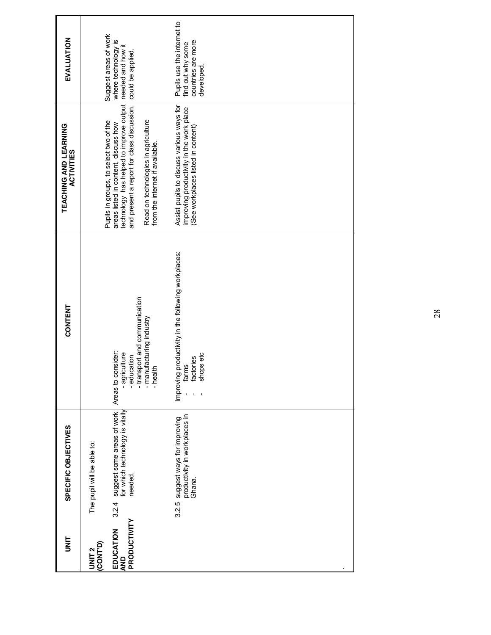| EVALUATION                                 | Suggest areas of work<br>where technology is<br>needed and how it<br>could be applied                                                                                                                                                             | Pupils use the internet to<br>find out why some<br>countries are more<br>developed.                                         |
|--------------------------------------------|---------------------------------------------------------------------------------------------------------------------------------------------------------------------------------------------------------------------------------------------------|-----------------------------------------------------------------------------------------------------------------------------|
| TEACHING AND LEARNING<br><b>ACTIVITIES</b> | and present a report for class discussion.<br>technology has helped to improve output<br>Read on technologies in agriculture<br>Pupils in groups, to select two of the<br>areas listed in content, discuss how<br>from the internet if available. | Assist pupils to discuss various ways for<br>improving productivity in the work place<br>(See workplaces listed in content) |
| <b>CONTENT</b>                             | - transport and communication<br>- manufacturing industry<br>Areas to consider:<br>- agriculture<br>- education<br>- health                                                                                                                       | productivity in the following workplaces:<br>shops etc<br>factories<br>farms<br>Improving                                   |
| SPECIFIC OBJECTIVES                        | suggest some areas of work<br>for which technology is vitally<br>The pupil will be able to:<br>needed<br>3.2.4                                                                                                                                    | suggest ways for improving<br>productivity in workplaces in<br>Ghana.<br>3.2.5                                              |
| ling                                       | PRODUCTIVITY<br>EDUCATION<br>UNIT 2<br>(CONTD)<br><b>AND</b>                                                                                                                                                                                      |                                                                                                                             |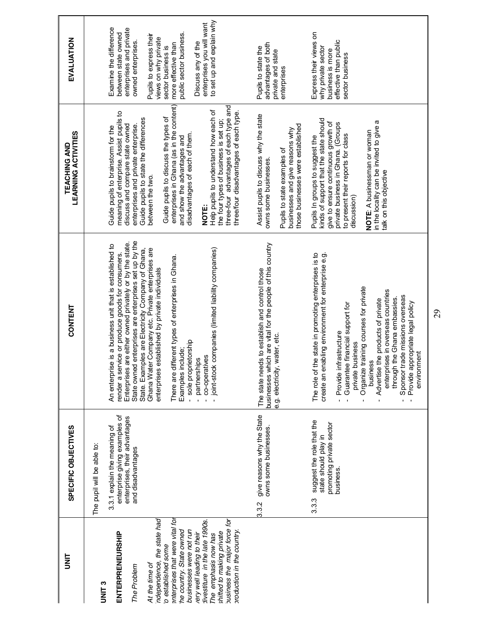| i<br>N                                                                                                                                                                                                                                                                                                                                                                                                   | SPECIFIC OBJECTIVES                                                                                                                               | <b>CONTENT</b>                                                                                                                                                                                                                                                                                                                                                                                                                                                                                                                                                                               | <b>LEARNING ACTIVITIES</b><br><b>TEACHING AND</b>                                                                                                                                                                                                                                                                                                                                                                                                                                                                                                        | EVALUATION                                                                                                                                                                                                                                                                                                |
|----------------------------------------------------------------------------------------------------------------------------------------------------------------------------------------------------------------------------------------------------------------------------------------------------------------------------------------------------------------------------------------------------------|---------------------------------------------------------------------------------------------------------------------------------------------------|----------------------------------------------------------------------------------------------------------------------------------------------------------------------------------------------------------------------------------------------------------------------------------------------------------------------------------------------------------------------------------------------------------------------------------------------------------------------------------------------------------------------------------------------------------------------------------------------|----------------------------------------------------------------------------------------------------------------------------------------------------------------------------------------------------------------------------------------------------------------------------------------------------------------------------------------------------------------------------------------------------------------------------------------------------------------------------------------------------------------------------------------------------------|-----------------------------------------------------------------------------------------------------------------------------------------------------------------------------------------------------------------------------------------------------------------------------------------------------------|
| ndependence, the state had<br>interprises that were vital for<br>fivestiture in the late 1990s.<br>pusiness the major force for<br>businesses were not run<br>he country. State owned<br>production in the country.<br>shifted to making private<br><b>ENTERPRENEURSHIP</b><br>rery well leading to their<br>The emphasis now has<br>o established some<br>At the time of<br>The Problem<br><b>UNIT3</b> | enterprise giving examples of<br>enterprises, their advantages<br>3.3.1 explain the meaning of<br>The pupil will be able to:<br>and disadvantages | State owned enterprises are enterprises set up by the<br>Enterprises are either owned privately or by the state.<br>An enterprise is a business unit that is established to<br>Ghana Water Company etc. Private enterprises are<br>joint-stock companies (limited liability companies)<br>State. Examples are Electricity Company of Ghana,<br>render a service or produce goods for consumers.<br>different types of enterprises in Ghana.<br>enterprises established by private individuals<br>- sole proprietorship<br>include;<br>co-operatives<br>partnerships<br>There are<br>Examples | enterprises in Ghana (as in the content)<br>three-four advantages of each type and<br>Help pupils to understand how each of<br>meaning of enterprise. Assist pupils to<br>three/four disadvantages of each type.<br>Guide pupils to discuss the types of<br>Guide pupils to state the differences<br>the four types of business is set up;<br>enterprises and private enterprise.<br>discuss and compare state owned<br>Guide pupils to brainstorm for the<br>disadvantages of each of them.<br>and show the advantages and<br>between the two.<br>NOTE: | to set up and explain why<br>enterprises you will want<br>Examine the difference<br>enterprises and private<br>public sector business.<br>between state owned<br>Pupils to express their<br>views on why private<br>owned enterprises.<br>Discuss any of the<br>more effective than<br>sector business is |
|                                                                                                                                                                                                                                                                                                                                                                                                          | give reasons why the State<br>owns some businesses.<br>3.3.2                                                                                      | businesses which are vital for the people of this country<br>The state needs to establish and control those<br>e.g. electricity, water, etc.                                                                                                                                                                                                                                                                                                                                                                                                                                                 | Assist pupils to discuss why the state<br>those businesses were established<br>businesses and give reasons why<br>Pupils to state examples of<br>owns some businesses.                                                                                                                                                                                                                                                                                                                                                                                   | advantages of both<br>Pupils to state the<br>private and state<br>enterprises                                                                                                                                                                                                                             |
|                                                                                                                                                                                                                                                                                                                                                                                                          | suggest the role that the<br>promoting private sector<br>state should play in<br>business.<br>3.3.3                                               | The role of the state in promoting enterprises is to<br>create an enabling environment for enterprise e.g.<br>Organize training courses for private<br>enterprises in overseas countries<br>Sponsor trade missions overseas<br>through the Ghana embassies.<br>Advertise the products of private<br>Provide appropriate legal policy<br>Guarantee financial support for<br>Provide infrastructure<br>private business<br>environment<br>business<br>$\mathbf{I}$                                                                                                                             | kinds of support that the state should<br>in the locality can be invited to give a<br>give to ensure continuous growth of<br>private business in Ghana. (Groups<br>NOTE: A businessman or woman<br>to present their reports for class<br>Pupils In groups to suggest the<br>talk on this objective<br>discussion)                                                                                                                                                                                                                                        | Express their views on<br>effective than public<br>why private sector<br>business is more<br>sector business                                                                                                                                                                                              |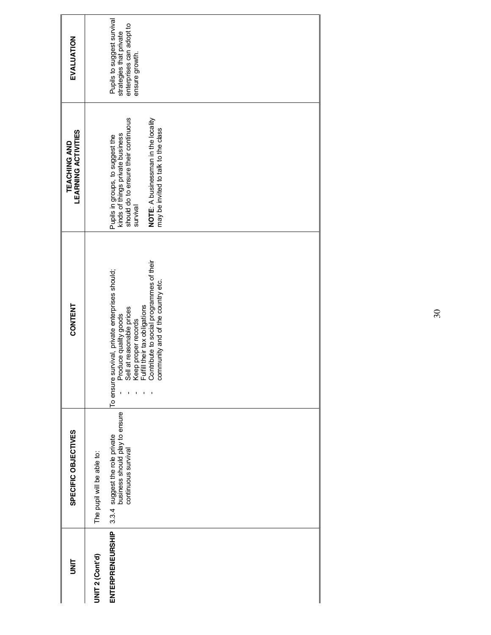| EVALUATION                                 | Pupils to suggest survival<br>strategies that private<br>enterprises can adopt to<br>ensure growth.                                                                                                                                            |
|--------------------------------------------|------------------------------------------------------------------------------------------------------------------------------------------------------------------------------------------------------------------------------------------------|
| <b>LEARNING ACTIVITIES</b><br>TEACHING AND | should do to ensure their continuous<br>NOTE: A businessman in the locality<br>may be invited to talk to the class<br>Pupils in groups, to suggest the<br>kinds of things private business<br>survival                                         |
| <b>CONTENT</b>                             | Produce quality goods<br>Sell at reasonable prices<br>Keep proper records<br>Fulfill their tax obligations<br>Contribute to social programmes of their<br>To ensure survival, private enterprises should;<br>community and of the country etc. |
| SPECIFIC OBJECTIVES                        | business should play to ensure<br>3.3.4 suggest the role private<br>continuous survival<br>The pupil will be able to:                                                                                                                          |
| <b>UNIT</b>                                | ENTERPRENEURSHIP<br><b>UNIT 2 (Cont'd)</b>                                                                                                                                                                                                     |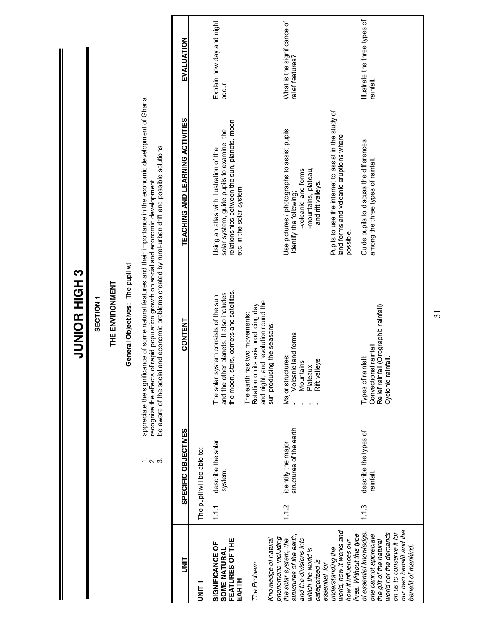|                                                                                                                                  |       |                                               | SECTION <sub>1</sub>                                                                                                       |                                                                                                                                                                                             |                                                 |
|----------------------------------------------------------------------------------------------------------------------------------|-------|-----------------------------------------------|----------------------------------------------------------------------------------------------------------------------------|---------------------------------------------------------------------------------------------------------------------------------------------------------------------------------------------|-------------------------------------------------|
|                                                                                                                                  |       |                                               | THE ENVIRONMENT                                                                                                            |                                                                                                                                                                                             |                                                 |
|                                                                                                                                  |       |                                               | General Objectives: The pupil wll                                                                                          |                                                                                                                                                                                             |                                                 |
|                                                                                                                                  |       | $\frac{1}{2}$ $\alpha$ $\alpha$               | recognize the effects of rapid population growth on social and economic development<br>be aware of the social              | appreciate the significance of some natural features and their importance in the economic development of Ghana<br>and economic problems created by rural-urban drift and possible solutions |                                                 |
| <b>UNIT</b>                                                                                                                      |       | SPECIFIC OBJECTIVES                           | CONTENT                                                                                                                    | TEACHING AND LEARNING ACTIVITIES                                                                                                                                                            | EVALUATION                                      |
| I<br>INF<br>I                                                                                                                    |       | The pupil will be able to:                    |                                                                                                                            |                                                                                                                                                                                             |                                                 |
| FEATURES OF THE<br>SIGNIFICANCE OF<br>SOME NATURAL<br>EARTH                                                                      | 1.1.1 | describe the solar<br>system.                 | the moon, stars, comets and satellites.<br>and the other planets. It also includes<br>The solar system consists of the sun | relationships between the sun, planets, moon<br>solar system, guide pupils to examine the<br>Using an atlas with illustration of the<br>etc. in the solar system                            | Explain how day and night<br>occur              |
| The Problem                                                                                                                      |       |                                               | and night; and revolution round the<br>its axis producing day<br>The earth has two movements:<br>Rotation on               |                                                                                                                                                                                             |                                                 |
| phenomena including<br>Knowledge of natural                                                                                      |       |                                               | sun producing the seasons.                                                                                                 |                                                                                                                                                                                             |                                                 |
| structures of the earth,<br>the solar system, the                                                                                | 1.1.2 | structures of the earth<br>identify the major | Volcanic land forms<br>Major structures:                                                                                   | Use pictures / photographs to assist pupils<br>Identify the following;                                                                                                                      | What is the significance of<br>relief features? |
| and the divisions into<br>which the world is<br>categorized is                                                                   |       |                                               | Rift valleys<br>Mountains<br>Plateaux                                                                                      | -mountains, plateau,<br>-volcanic land forms<br>and rift valleys.                                                                                                                           |                                                 |
| world, how it works and<br>how it influences our<br>understanding the<br>essential for                                           |       |                                               |                                                                                                                            | Pupils to use the internet to assist in the study of<br>land forms and volcanic eruptions where<br>possible.                                                                                |                                                 |
| of essential knowledge,<br>world nor the demands<br>lives. Without this type<br>one cannot appreciate<br>the gift of the natural | 1.1.3 | describe the types of<br>rainfall             | Relief rainfall (Orographic rainfall)<br>Convectional rainfall<br>Types of rainfall:<br>infall.<br>Cyclonic rai            | Guide pupils to discuss the differences<br>among the three types of rainfall                                                                                                                | Illustrate the three types of<br>rainfall.      |
| our own benefit and the<br>on us to conserve it for<br>benefit of mankind.                                                       |       |                                               |                                                                                                                            |                                                                                                                                                                                             |                                                 |

**JUNIOR HIGH 3 6 HUIH EOIND** 

31

 $\mathbf{l}$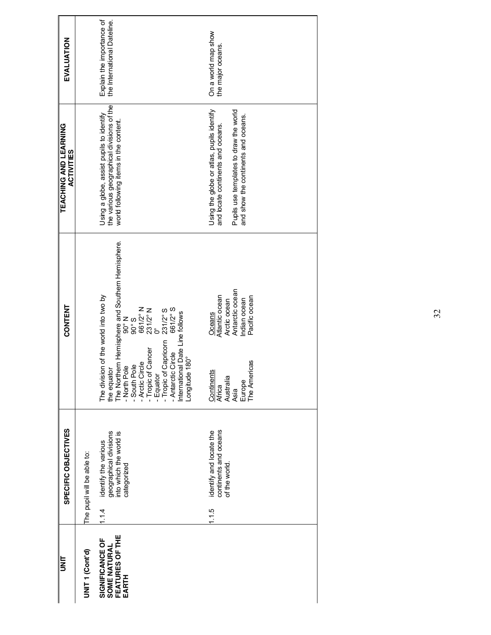| l<br>NT                                                     | SPECIFIC OBJECTIVES                                                                              | CONTENT                                                                                                                                                                                                                                                                                                                                                 | <b>TEACHING AND LEARNING</b><br><b>ACTIVITIES</b>                                                                                                               | EVALUATION                                               |
|-------------------------------------------------------------|--------------------------------------------------------------------------------------------------|---------------------------------------------------------------------------------------------------------------------------------------------------------------------------------------------------------------------------------------------------------------------------------------------------------------------------------------------------------|-----------------------------------------------------------------------------------------------------------------------------------------------------------------|----------------------------------------------------------|
| UNIT <sub>1</sub> (Cont'd)                                  | The pupil will be able to:                                                                       |                                                                                                                                                                                                                                                                                                                                                         |                                                                                                                                                                 |                                                          |
| FEATURES OF THE<br>SIGNIFICANCE OF<br>SOME NATURAL<br>EARTH | geographical divisions<br>into which the world is<br>identify the various<br>categorized<br>1.14 | The Northern Hernisphere and Southern Hernisphere.<br>- North Pole 90° N<br>- South Pole 90° S<br>- Arctic Circle 661/2° N<br>- Tropic of Cancer 231/2° N<br>- Equator 0°<br>The division of the world into two by<br>the equator<br>- Tropic of Capricorn 231/2° S<br>- Antarctic Circle 661/2° S<br>International Date Line follows<br>Longitude 180° | the various geographical divisions of the<br>Using a globe, assist pupils to identify<br>world following items in the content.                                  | Explain the importance of<br>the International Dateline. |
|                                                             | continents and oceans<br>identify and locate the<br>of the world<br>1.1.5                        | Antarctic ocean<br>Atlantic ocean<br>Pacific ocean<br>Arctic ocean<br>Indian ocean<br>Oceans<br>icas<br>Continents<br>The Ameri<br>Australia<br>Europe<br>Africa<br>Asia                                                                                                                                                                                | Using the globe or atlas, pupils identify<br>Pupils use templates to draw the world<br>and show the continents and oceans.<br>and locate continents and oceans. | On a world map show<br>the major oceans.                 |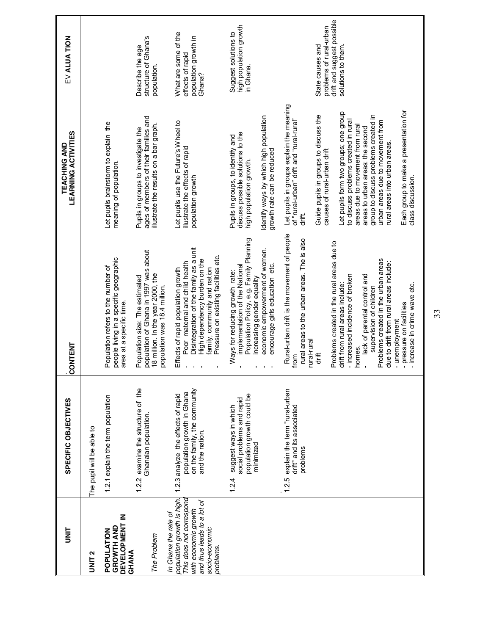| is<br>S                                                                                                                                                             | SPECIFIC OBJECTIVES                                                                                                 | <b>CONTENT</b>                                                                                                                                                                                                                                                                                                                                                                                                                                                                    | <b>LEARNING ACTIVITIES</b><br>TEACHING AND                                                                                                                                                                                                                                                                                                                                                                                                                                                                | EV ALUA TION                                                                                    |
|---------------------------------------------------------------------------------------------------------------------------------------------------------------------|---------------------------------------------------------------------------------------------------------------------|-----------------------------------------------------------------------------------------------------------------------------------------------------------------------------------------------------------------------------------------------------------------------------------------------------------------------------------------------------------------------------------------------------------------------------------------------------------------------------------|-----------------------------------------------------------------------------------------------------------------------------------------------------------------------------------------------------------------------------------------------------------------------------------------------------------------------------------------------------------------------------------------------------------------------------------------------------------------------------------------------------------|-------------------------------------------------------------------------------------------------|
| UNIT <sub>2</sub>                                                                                                                                                   | The pupil will be able to                                                                                           |                                                                                                                                                                                                                                                                                                                                                                                                                                                                                   |                                                                                                                                                                                                                                                                                                                                                                                                                                                                                                           |                                                                                                 |
| DEVELOPMENT IN<br>GROWTH AND<br>POPULATION<br>GHANA                                                                                                                 | 1.2.1 explain the term population                                                                                   | people living in a specific geographic<br>Population refers to the number of<br>area at a specific time.                                                                                                                                                                                                                                                                                                                                                                          | Let pupils brainstorm to explain the<br>meaning of population.                                                                                                                                                                                                                                                                                                                                                                                                                                            |                                                                                                 |
| The Problem                                                                                                                                                         | examine the structure of the<br>Ghanaian population.<br>1.2.2                                                       | population of Ghana in 1997 was about<br>18 million. In the year 2000, the<br>Population size: The estimated<br>population was 18.4 million.                                                                                                                                                                                                                                                                                                                                      | ages of members of their families and<br>illustrate the results on a bar graph.<br>Pupils in groups to investigate the                                                                                                                                                                                                                                                                                                                                                                                    | structure of Ghana's<br>Describe the age<br>population.                                         |
| population growth is high.<br>This does not correspond<br>and thus leads to a lot of<br>with economic growth<br>In Ghana the rate of<br>socio-economic<br>problems. | on the family, the community<br>population growth in Ghana<br>1.2.3 analyze the effects of rapid<br>and the nation. | Disintegration of the family as a unit<br>Pressure on existing facilities etc.<br>High dependency burden on the<br>Poor maternal and child health<br>family, community and nation<br>Effects of rapid population growth                                                                                                                                                                                                                                                           | Let pupils use the Future's Wheel to<br>illustrate the effects of rapid<br>population growth                                                                                                                                                                                                                                                                                                                                                                                                              | What are some of the<br>population growth in<br>effects of rapid<br>Ghana?                      |
|                                                                                                                                                                     | population growth could be<br>social problems and rapid<br>suggest ways in which<br>minimized<br>1.2.4              | Population Policy, e.g. Family Planning<br>economic empowerment of women.<br>encourage girls education etc.<br>implementation of the National<br>Ways for reducing growth rate:<br>increasing gender equality                                                                                                                                                                                                                                                                     | dentify ways by which high population<br>discuss possible solutions to the<br>Pupils in groups, to identify and<br>growth rate can be reduced<br>high population growth.                                                                                                                                                                                                                                                                                                                                  | high population growth<br>Suggest solutions to<br>in Ghana.                                     |
|                                                                                                                                                                     | explain the term "rural-urban<br>drift" and its associated<br>problems<br>1.2.5                                     | Rural-urban drift is the movement of people<br>rural areas to the urban areas. The is also<br>Problems created in the rural areas due to<br>Problems created in the urban areas<br>due to drift from rural areas include:<br>- increased incidence of broken<br>lack of parental control and<br>drift from rural areas include:<br>- increase in crime wave etc.<br>supervision of children<br>pressure on facilities<br>- unemployment<br>rural-rural<br>homes.<br>drift<br>trom | Let pupils in groups explain the meaning<br>of "rural-urban" drift and "rural-rural"<br>Each group to make a presentation for<br>Let pupils form two groups; one group<br>Guide pupils in groups to discuss the<br>group to discuss problems created in<br>to discuss problems created in rural<br>urban areas due to movement from<br>areas due to movement from rural<br>areas to urban areas; the second<br>rural areas into urban areas.<br>causes of rural-urban drift<br>class discussion.<br>dift. | drift and suggest possible<br>problems of rural-urban<br>State causes and<br>solutions to them. |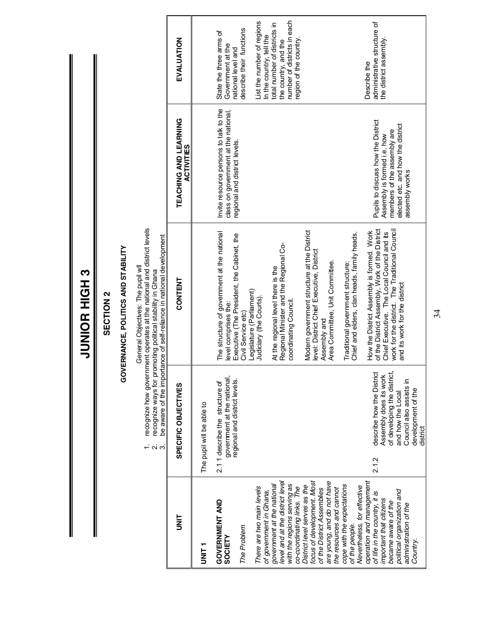|                 |                  |                                   |                                                                                                                                                                                                                              | EVALUATION                                 |                           | State the three arms of<br>Government at the<br>national level and                                               | describe their functions                       | List the number of regions<br>In the country, tell the | total number of districts in<br>the country, and the                         | number of districts in each<br>region of the country.     |                                                                                                                                                    |                                                                                  | administrative structure of<br>the district assembly.<br>Describe the                                                                                                                                                        |
|-----------------|------------------|-----------------------------------|------------------------------------------------------------------------------------------------------------------------------------------------------------------------------------------------------------------------------|--------------------------------------------|---------------------------|------------------------------------------------------------------------------------------------------------------|------------------------------------------------|--------------------------------------------------------|------------------------------------------------------------------------------|-----------------------------------------------------------|----------------------------------------------------------------------------------------------------------------------------------------------------|----------------------------------------------------------------------------------|------------------------------------------------------------------------------------------------------------------------------------------------------------------------------------------------------------------------------|
|                 |                  |                                   |                                                                                                                                                                                                                              | TEACHING AND LEARNING<br><b>ACTIVITIES</b> |                           | Invite resource persons to talk to the<br>class on government at the national,<br>regional and district levels.  |                                                |                                                        |                                                                              |                                                           |                                                                                                                                                    |                                                                                  | Pupils to discuss how the District<br>elected etc. and how the district<br>members of the assembly are<br>Assembly is formed i.e. how<br>assembly works                                                                      |
| JUNIOR<br>HIGH3 | <b>SECTION 2</b> | OVERNANCE, POLITICS AND STABILITY | recognize how government operates at the national and district levels<br>be aware of the importance of self-reliance in national development<br>General Objectives: The pupil will<br>promoting political stability in Ghana | CONTENT                                    |                           | The structure of government at the national<br>Executive (The President, the Cabinet, the<br>evel comprises the: | Legislature (Parliament)<br>Civil Service etc) | Judiciary (the Courts)                                 | Regional Minister and the Regional Co-<br>At the regional level there is the | coordinating Council.                                     | Modern government structure at the District<br>level: District Chief Executive, District<br>Area Committee, Unit Committee.<br>Assembly and        | Chief and elders, clan heads, family heads.<br>Traditional government structure: | of the District Assembly, Work of the District<br>work for the district. The Traditional Council<br>How the District Assembly is formed. Work<br>Chief Executive. The Local Council and its<br>and its work for the district |
|                 |                  | ပ                                 | recognize ways for<br><u>ณ์</u> ต่                                                                                                                                                                                           | SPECIFIC OBJECTIVES                        | The pupil will be able to | government at the national<br>regional and district levels.<br>2.11 describe the structure of                    |                                                |                                                        |                                                                              |                                                           |                                                                                                                                                    |                                                                                  | describe how the District<br>of developing the district,<br>Assembly does its work<br>Council also assists in<br>development of the<br>and how the Local<br>district<br>2.1.2                                                |
|                 |                  |                                   |                                                                                                                                                                                                                              | t<br>M                                     | <b>TINIT</b>              | <b>GOVERNMENT AND</b><br>SOCIETY                                                                                 | The Problem                                    | There are two main levels<br>of government in Ghana,   | level and at the district level<br>government at the national                | with the regions serving as<br>co-coordinating links. The | focus of development. Most<br>are young, and do not have<br>District level serves as the<br>of the District Assemblies<br>the resources and cannot | cope with the expectations<br>Nevertheless, for effective<br>of the people.      | operation and management<br>political organization and<br>of life in the country, it is<br>important that citizens<br>became aware of the<br>administration of the<br>Country                                                |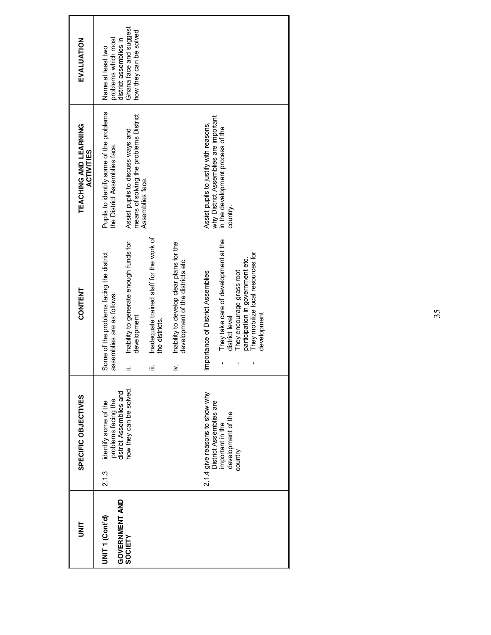| m<br>N                                                         | SPECIFIC OBJECTIVES                                                                                           | <b>CONTENT</b>                                                                                                                                                                                                   | TEACHING AND LEARNING<br><b>ACTIVITIES</b>                                                                                                                                  | EVALUATION                                                                                                             |
|----------------------------------------------------------------|---------------------------------------------------------------------------------------------------------------|------------------------------------------------------------------------------------------------------------------------------------------------------------------------------------------------------------------|-----------------------------------------------------------------------------------------------------------------------------------------------------------------------------|------------------------------------------------------------------------------------------------------------------------|
| <b>GOVERNMENT AND</b><br>UNIT <sub>1</sub> (Cont'd)<br>SOCIETY | how they can be solved.<br>problems facing the<br>district Assemblies and<br>identify some of the<br>2.1.3    | Inability to generate enough funds for<br>Some of the problems facing the district<br>assemblies are as follows:<br>development<br>≔                                                                             | Pupils to identify some of the problems<br>means of solving the problems District<br>Assist pupils to discuss ways and<br>the District Assemblies face.<br>Assemblies face. | Ghana face and suggest<br>how they can be solved<br>problems which most<br>district assemblies in<br>Name at least two |
|                                                                |                                                                                                               | Inadequate trained staff for the work of<br>Inability to develop clear plans for the<br>development of the districts etc.<br>the districts.<br>$\geq$<br>≡                                                       |                                                                                                                                                                             |                                                                                                                        |
|                                                                | 2.1.4 give reasons to show why<br>District Assemblies are<br>development of the<br>important in the<br>vuntry | They take care of development at the<br>They mobilize local resources for<br>participation in government etc.<br>Importance of District Assemblies<br>They encourage grass root<br>development<br>district level | why District Assemblies are important<br>Assist pupils to justify with reasons,<br>in the development process of the<br>country.                                            |                                                                                                                        |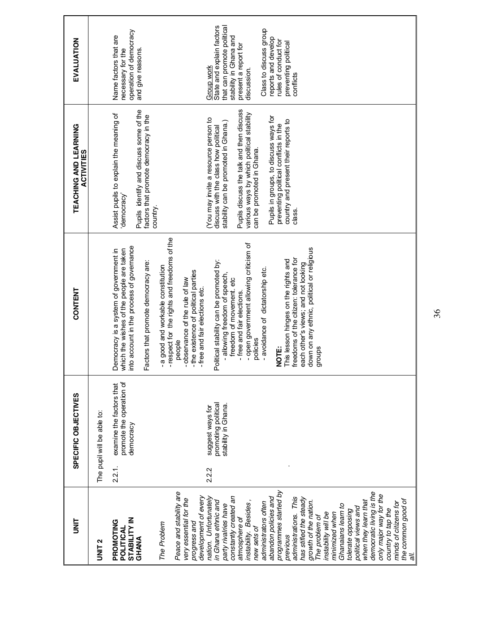| 들<br>5                                                                                                                                                                                                                                                                                                                                                                                                                                                                                                                           |        | SPECIFIC OBJECTIVES                                               | CONTENT                                                                                                                                                                                                                                                                                                                                                                                                                                                  | TEACHING AND LEARNING<br><b>ACTIVITIES</b>                                                                                                                                                                                                                                                                                                                                     | EVALUATION                                                                                                                                                                                                                                                  |
|----------------------------------------------------------------------------------------------------------------------------------------------------------------------------------------------------------------------------------------------------------------------------------------------------------------------------------------------------------------------------------------------------------------------------------------------------------------------------------------------------------------------------------|--------|-------------------------------------------------------------------|----------------------------------------------------------------------------------------------------------------------------------------------------------------------------------------------------------------------------------------------------------------------------------------------------------------------------------------------------------------------------------------------------------------------------------------------------------|--------------------------------------------------------------------------------------------------------------------------------------------------------------------------------------------------------------------------------------------------------------------------------------------------------------------------------------------------------------------------------|-------------------------------------------------------------------------------------------------------------------------------------------------------------------------------------------------------------------------------------------------------------|
| UNIT <sub>2</sub>                                                                                                                                                                                                                                                                                                                                                                                                                                                                                                                |        | The pupil will be able to:                                        |                                                                                                                                                                                                                                                                                                                                                                                                                                                          |                                                                                                                                                                                                                                                                                                                                                                                |                                                                                                                                                                                                                                                             |
| <b>STABILITY IN</b><br>PROMOTING<br>POLITICAL<br>GHANA                                                                                                                                                                                                                                                                                                                                                                                                                                                                           | 2.2.1. | promote the operation of<br>examine the factors that<br>democracy | into account in the process of governance<br>which the wishes of the people are taken<br>Democracy is a system of government in<br>Factors that promote democracy are:                                                                                                                                                                                                                                                                                   | Pupils identify and discuss some of the<br>Assist pupils to explain the meaning of<br>factors that promote democracy in the<br>democracy'                                                                                                                                                                                                                                      | operation of democracy<br>Name factors that are<br>necessary for the<br>and give reasons.                                                                                                                                                                   |
| Peace and stability are<br>very essential for the<br>progress and<br>The Problem                                                                                                                                                                                                                                                                                                                                                                                                                                                 |        |                                                                   | -respect for the rights and freedoms of the<br>- a good and workable constitution<br>- the existence of political parties<br>-observance of the rule of law<br>people                                                                                                                                                                                                                                                                                    | country.                                                                                                                                                                                                                                                                                                                                                                       |                                                                                                                                                                                                                                                             |
| democratic living is the<br>programmes started by<br>constantly created an<br>development of every<br>abandon policies and<br>administrations. This<br>nation. Unfortunately<br>has stifled the steady<br>in Ghana ethnic and<br>instability. Besides,<br>growth of the nation.<br>when they learn that<br>administrators often<br>Ghanaians learn to<br>party rivalries have<br>political views and<br>tolerate opposing<br>instability will be<br>minimized when<br>The problem of<br>atmosphere of<br>new sets of<br>previous | 2.2.2  | promoting political<br>stability in Ghana.<br>suggest ways for    | - open government allowing criticism of<br>down on any ethnic, political or religious<br>freedoms of the citizen: tolerance for<br>Political stability can be promoted by:<br>This lesson hinges on the rights and<br>each other's views; and not looking<br>- avoidance of dictatorship etc.<br>- allowing freedom of speech,<br>freedom of movement. etc<br>-free and fair elections etc.<br>- free and fair elections.<br>policies<br>NOTE:<br>groups | Pupils discuss the talk and then discuss<br>various ways by which political stability<br>Pupils in groups, to discuss ways for<br>(You may invite a resource person to<br>country and present their reports to<br>stability can be promoted in Ghana.)<br>preventing political conflicts in the<br>discuss with the class how political<br>can be promoted in Ghana.<br>class. | State and explain factors<br>that can promote political<br>Class to discuss group<br>stability in Ghana and<br>reports and develop<br>rules of conduct for<br>preventing political<br>present a report for<br><b>Group work</b><br>discussion.<br>conflicts |
| only major way for the<br>the common good of<br>minds of citizens for<br>country to tap the<br>Te                                                                                                                                                                                                                                                                                                                                                                                                                                |        |                                                                   |                                                                                                                                                                                                                                                                                                                                                                                                                                                          |                                                                                                                                                                                                                                                                                                                                                                                |                                                                                                                                                                                                                                                             |